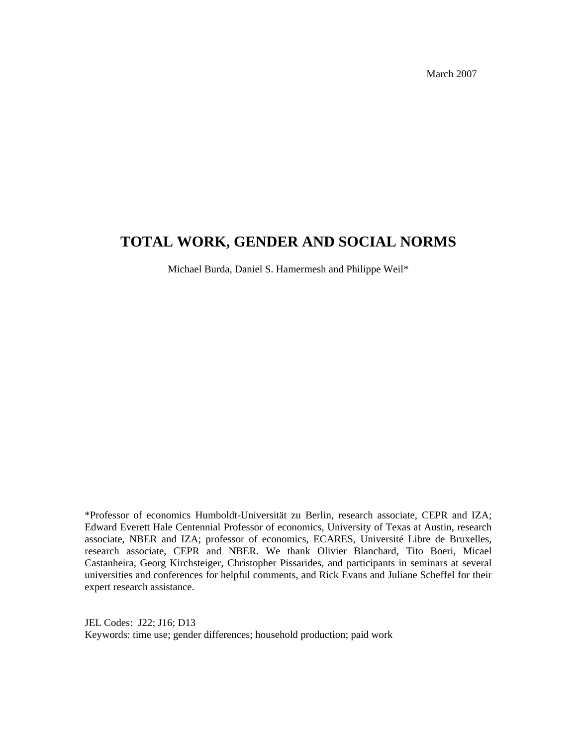March 2007

## **TOTAL WORK, GENDER AND SOCIAL NORMS**

Michael Burda, Daniel S. Hamermesh and Philippe Weil\*

\*Professor of economics Humboldt-Universität zu Berlin, research associate, CEPR and IZA; Edward Everett Hale Centennial Professor of economics, University of Texas at Austin, research associate, NBER and IZA; professor of economics, ECARES, Université Libre de Bruxelles, research associate, CEPR and NBER. We thank Olivier Blanchard, Tito Boeri, Micael Castanheira, Georg Kirchsteiger, Christopher Pissarides, and participants in seminars at several universities and conferences for helpful comments, and Rick Evans and Juliane Scheffel for their expert research assistance.

JEL Codes: J22; J16; D13 Keywords: time use; gender differences; household production; paid work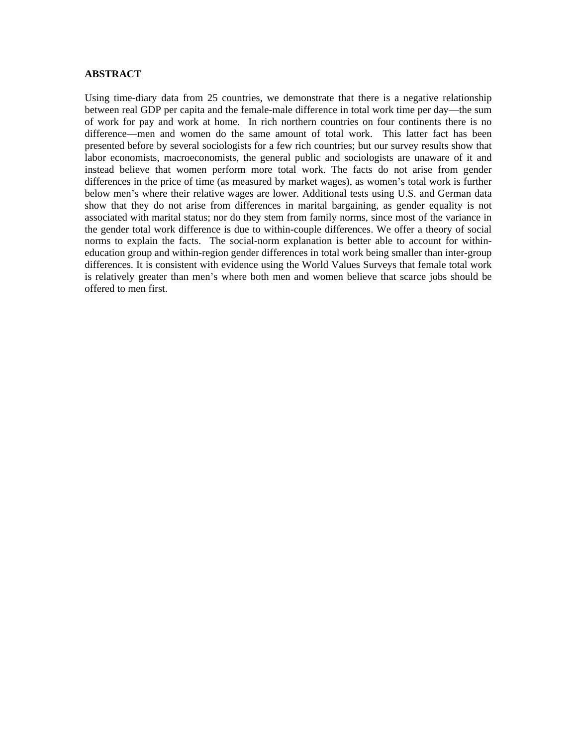#### **ABSTRACT**

Using time-diary data from 25 countries, we demonstrate that there is a negative relationship between real GDP per capita and the female-male difference in total work time per day—the sum of work for pay and work at home. In rich northern countries on four continents there is no difference—men and women do the same amount of total work. This latter fact has been presented before by several sociologists for a few rich countries; but our survey results show that labor economists, macroeconomists, the general public and sociologists are unaware of it and instead believe that women perform more total work. The facts do not arise from gender differences in the price of time (as measured by market wages), as women's total work is further below men's where their relative wages are lower. Additional tests using U.S. and German data show that they do not arise from differences in marital bargaining, as gender equality is not associated with marital status; nor do they stem from family norms, since most of the variance in the gender total work difference is due to within-couple differences. We offer a theory of social norms to explain the facts. The social-norm explanation is better able to account for withineducation group and within-region gender differences in total work being smaller than inter-group differences. It is consistent with evidence using the World Values Surveys that female total work is relatively greater than men's where both men and women believe that scarce jobs should be offered to men first.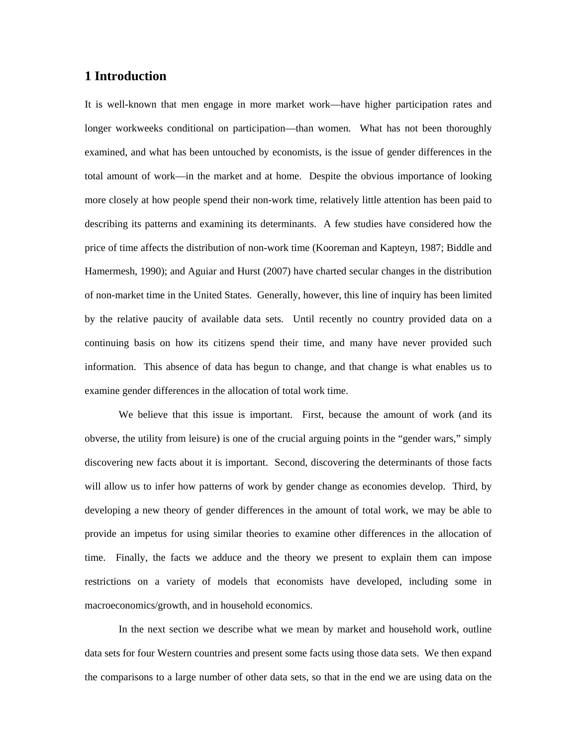## **1 Introduction**

It is well-known that men engage in more market work—have higher participation rates and longer workweeks conditional on participation—than women. What has not been thoroughly examined, and what has been untouched by economists, is the issue of gender differences in the total amount of work—in the market and at home. Despite the obvious importance of looking more closely at how people spend their non-work time, relatively little attention has been paid to describing its patterns and examining its determinants. A few studies have considered how the price of time affects the distribution of non-work time (Kooreman and Kapteyn, 1987; Biddle and Hamermesh, 1990); and Aguiar and Hurst (2007) have charted secular changes in the distribution of non-market time in the United States. Generally, however, this line of inquiry has been limited by the relative paucity of available data sets. Until recently no country provided data on a continuing basis on how its citizens spend their time, and many have never provided such information. This absence of data has begun to change, and that change is what enables us to examine gender differences in the allocation of total work time.

We believe that this issue is important. First, because the amount of work (and its obverse, the utility from leisure) is one of the crucial arguing points in the "gender wars," simply discovering new facts about it is important. Second, discovering the determinants of those facts will allow us to infer how patterns of work by gender change as economies develop. Third, by developing a new theory of gender differences in the amount of total work, we may be able to provide an impetus for using similar theories to examine other differences in the allocation of time. Finally, the facts we adduce and the theory we present to explain them can impose restrictions on a variety of models that economists have developed, including some in macroeconomics/growth, and in household economics.

In the next section we describe what we mean by market and household work, outline data sets for four Western countries and present some facts using those data sets. We then expand the comparisons to a large number of other data sets, so that in the end we are using data on the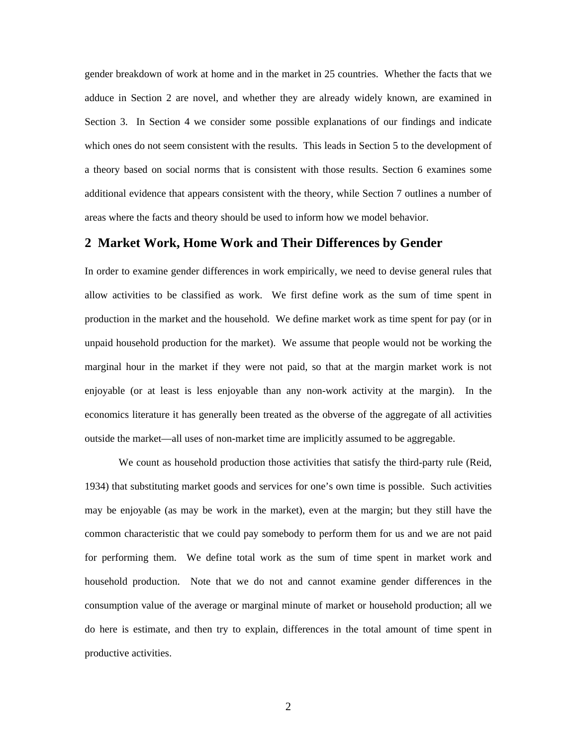gender breakdown of work at home and in the market in 25 countries. Whether the facts that we adduce in Section 2 are novel, and whether they are already widely known, are examined in Section 3. In Section 4 we consider some possible explanations of our findings and indicate which ones do not seem consistent with the results. This leads in Section 5 to the development of a theory based on social norms that is consistent with those results. Section 6 examines some additional evidence that appears consistent with the theory, while Section 7 outlines a number of areas where the facts and theory should be used to inform how we model behavior.

## **2 Market Work, Home Work and Their Differences by Gender**

In order to examine gender differences in work empirically, we need to devise general rules that allow activities to be classified as work. We first define work as the sum of time spent in production in the market and the household. We define market work as time spent for pay (or in unpaid household production for the market). We assume that people would not be working the marginal hour in the market if they were not paid, so that at the margin market work is not enjoyable (or at least is less enjoyable than any non-work activity at the margin). In the economics literature it has generally been treated as the obverse of the aggregate of all activities outside the market—all uses of non-market time are implicitly assumed to be aggregable.

 We count as household production those activities that satisfy the third-party rule (Reid, 1934) that substituting market goods and services for one's own time is possible. Such activities may be enjoyable (as may be work in the market), even at the margin; but they still have the common characteristic that we could pay somebody to perform them for us and we are not paid for performing them. We define total work as the sum of time spent in market work and household production. Note that we do not and cannot examine gender differences in the consumption value of the average or marginal minute of market or household production; all we do here is estimate, and then try to explain, differences in the total amount of time spent in productive activities.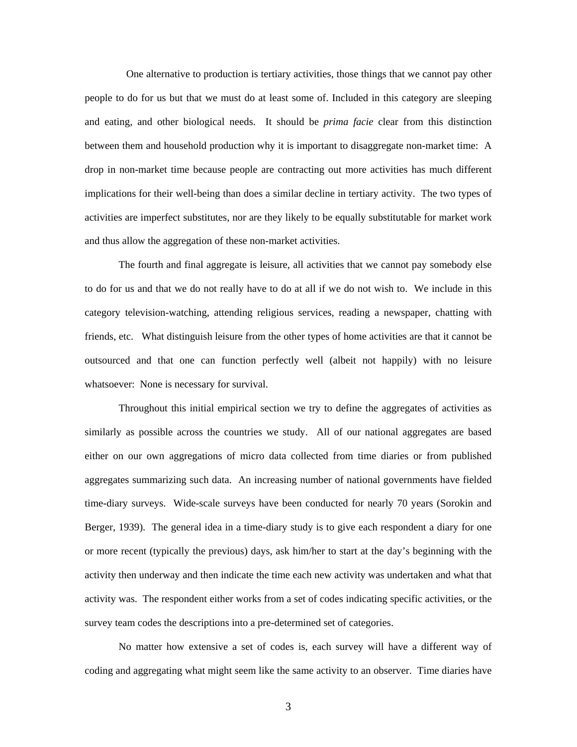One alternative to production is tertiary activities, those things that we cannot pay other people to do for us but that we must do at least some of. Included in this category are sleeping and eating, and other biological needs. It should be *prima facie* clear from this distinction between them and household production why it is important to disaggregate non-market time: A drop in non-market time because people are contracting out more activities has much different implications for their well-being than does a similar decline in tertiary activity. The two types of activities are imperfect substitutes, nor are they likely to be equally substitutable for market work and thus allow the aggregation of these non-market activities.

 The fourth and final aggregate is leisure, all activities that we cannot pay somebody else to do for us and that we do not really have to do at all if we do not wish to. We include in this category television-watching, attending religious services, reading a newspaper, chatting with friends, etc. What distinguish leisure from the other types of home activities are that it cannot be outsourced and that one can function perfectly well (albeit not happily) with no leisure whatsoever: None is necessary for survival.

Throughout this initial empirical section we try to define the aggregates of activities as similarly as possible across the countries we study. All of our national aggregates are based either on our own aggregations of micro data collected from time diaries or from published aggregates summarizing such data. An increasing number of national governments have fielded time-diary surveys. Wide-scale surveys have been conducted for nearly 70 years (Sorokin and Berger, 1939). The general idea in a time-diary study is to give each respondent a diary for one or more recent (typically the previous) days, ask him/her to start at the day's beginning with the activity then underway and then indicate the time each new activity was undertaken and what that activity was. The respondent either works from a set of codes indicating specific activities, or the survey team codes the descriptions into a pre-determined set of categories.

No matter how extensive a set of codes is, each survey will have a different way of coding and aggregating what might seem like the same activity to an observer. Time diaries have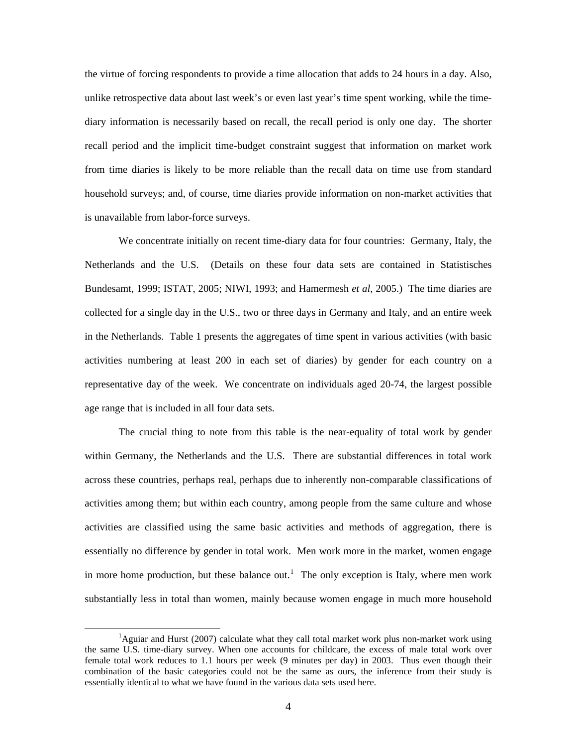the virtue of forcing respondents to provide a time allocation that adds to 24 hours in a day. Also, unlike retrospective data about last week's or even last year's time spent working, while the timediary information is necessarily based on recall, the recall period is only one day. The shorter recall period and the implicit time-budget constraint suggest that information on market work from time diaries is likely to be more reliable than the recall data on time use from standard household surveys; and, of course, time diaries provide information on non-market activities that is unavailable from labor-force surveys.

We concentrate initially on recent time-diary data for four countries: Germany, Italy, the Netherlands and the U.S. (Details on these four data sets are contained in Statistisches Bundesamt, 1999; ISTAT, 2005; NIWI, 1993; and Hamermesh *et al*, 2005.) The time diaries are collected for a single day in the U.S., two or three days in Germany and Italy, and an entire week in the Netherlands. Table 1 presents the aggregates of time spent in various activities (with basic activities numbering at least 200 in each set of diaries) by gender for each country on a representative day of the week. We concentrate on individuals aged 20-74, the largest possible age range that is included in all four data sets.

The crucial thing to note from this table is the near-equality of total work by gender within Germany, the Netherlands and the U.S. There are substantial differences in total work across these countries, perhaps real, perhaps due to inherently non-comparable classifications of activities among them; but within each country, among people from the same culture and whose activities are classified using the same basic activities and methods of aggregation, there is essentially no difference by gender in total work. Men work more in the market, women engage in more home production, but these balance out.<sup>[1](#page-5-0)</sup> The only exception is Italy, where men work substantially less in total than women, mainly because women engage in much more household

<span id="page-5-0"></span> $\frac{1}{1}$ <sup>1</sup>Aguiar and Hurst (2007) calculate what they call total market work plus non-market work using the same U.S. time-diary survey. When one accounts for childcare, the excess of male total work over female total work reduces to 1.1 hours per week (9 minutes per day) in 2003. Thus even though their combination of the basic categories could not be the same as ours, the inference from their study is essentially identical to what we have found in the various data sets used here.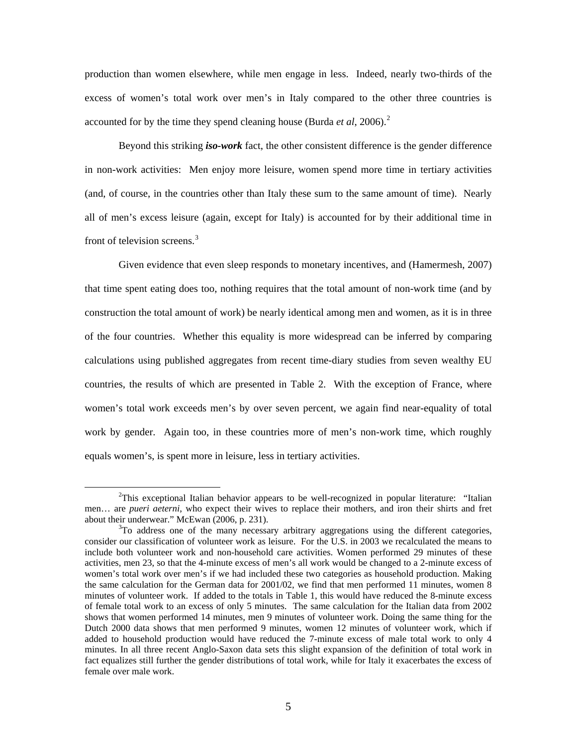production than women elsewhere, while men engage in less. Indeed, nearly two-thirds of the excess of women's total work over men's in Italy compared to the other three countries is accounted for by the time they spend cleaning house (Burda *et al*, [2](#page-6-0)006).<sup>2</sup>

 Beyond this striking *iso-work* fact, the other consistent difference is the gender difference in non-work activities: Men enjoy more leisure, women spend more time in tertiary activities (and, of course, in the countries other than Italy these sum to the same amount of time). Nearly all of men's excess leisure (again, except for Italy) is accounted for by their additional time in front of television screens.<sup>[3](#page-6-1)</sup>

Given evidence that even sleep responds to monetary incentives, and (Hamermesh, 2007) that time spent eating does too, nothing requires that the total amount of non-work time (and by construction the total amount of work) be nearly identical among men and women, as it is in three of the four countries. Whether this equality is more widespread can be inferred by comparing calculations using published aggregates from recent time-diary studies from seven wealthy EU countries, the results of which are presented in Table 2. With the exception of France, where women's total work exceeds men's by over seven percent, we again find near-equality of total work by gender. Again too, in these countries more of men's non-work time, which roughly equals women's, is spent more in leisure, less in tertiary activities.

<span id="page-6-0"></span> $\overline{\phantom{a}}$  $T^2$ This exceptional Italian behavior appears to be well-recognized in popular literature: "Italian" men… are *pueri aeterni*, who expect their wives to replace their mothers, and iron their shirts and fret about their underwear." McEwan (2006, p. 231).

<span id="page-6-1"></span> $T$ <sup>3</sup>To address one of the many necessary arbitrary aggregations using the different categories, consider our classification of volunteer work as leisure. For the U.S. in 2003 we recalculated the means to include both volunteer work and non-household care activities. Women performed 29 minutes of these activities, men 23, so that the 4-minute excess of men's all work would be changed to a 2-minute excess of women's total work over men's if we had included these two categories as household production. Making the same calculation for the German data for 2001/02, we find that men performed 11 minutes, women 8 minutes of volunteer work. If added to the totals in Table 1, this would have reduced the 8-minute excess of female total work to an excess of only 5 minutes. The same calculation for the Italian data from 2002 shows that women performed 14 minutes, men 9 minutes of volunteer work. Doing the same thing for the Dutch 2000 data shows that men performed 9 minutes, women 12 minutes of volunteer work, which if added to household production would have reduced the 7-minute excess of male total work to only 4 minutes. In all three recent Anglo-Saxon data sets this slight expansion of the definition of total work in fact equalizes still further the gender distributions of total work, while for Italy it exacerbates the excess of female over male work.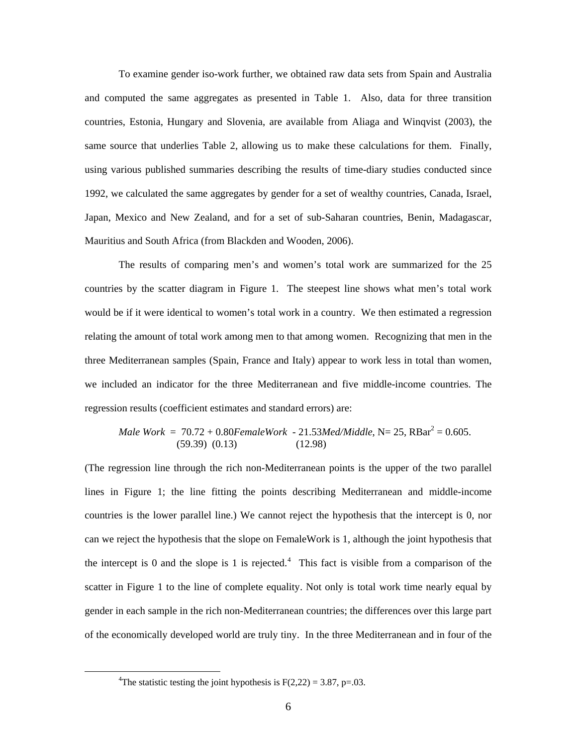To examine gender iso-work further, we obtained raw data sets from Spain and Australia and computed the same aggregates as presented in Table 1. Also, data for three transition countries, Estonia, Hungary and Slovenia, are available from Aliaga and Winqvist (2003), the same source that underlies Table 2, allowing us to make these calculations for them. Finally, using various published summaries describing the results of time-diary studies conducted since 1992, we calculated the same aggregates by gender for a set of wealthy countries, Canada, Israel, Japan, Mexico and New Zealand, and for a set of sub-Saharan countries, Benin, Madagascar, Mauritius and South Africa (from Blackden and Wooden, 2006).

The results of comparing men's and women's total work are summarized for the 25 countries by the scatter diagram in Figure 1. The steepest line shows what men's total work would be if it were identical to women's total work in a country. We then estimated a regression relating the amount of total work among men to that among women. Recognizing that men in the three Mediterranean samples (Spain, France and Italy) appear to work less in total than women, we included an indicator for the three Mediterranean and five middle-income countries. The regression results (coefficient estimates and standard errors) are:

$$
Male Work = 70.72 + 0.80FemaleWork - 21.53Med/Middle, N = 25, RBar2 = 0.605.
$$
  
(59.39) (0.13) (12.98)

(The regression line through the rich non-Mediterranean points is the upper of the two parallel lines in Figure 1; the line fitting the points describing Mediterranean and middle-income countries is the lower parallel line.) We cannot reject the hypothesis that the intercept is 0, nor can we reject the hypothesis that the slope on FemaleWork is 1, although the joint hypothesis that the intercept is 0 and the slope is 1 is rejected.<sup>[4](#page-7-0)</sup> This fact is visible from a comparison of the scatter in Figure 1 to the line of complete equality. Not only is total work time nearly equal by gender in each sample in the rich non-Mediterranean countries; the differences over this large part of the economically developed world are truly tiny. In the three Mediterranean and in four of the

<span id="page-7-0"></span> $\frac{1}{4}$ <sup>4</sup>The statistic testing the joint hypothesis is  $F(2,22) = 3.87$ , p=.03.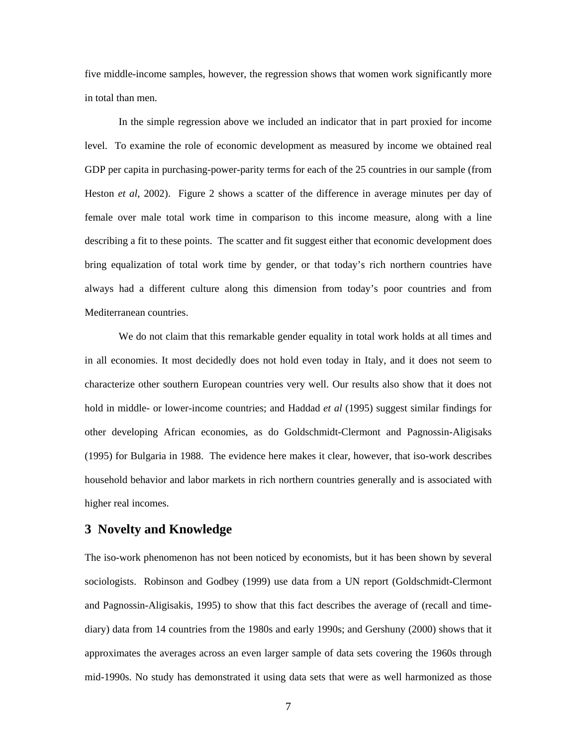five middle-income samples, however, the regression shows that women work significantly more in total than men.

In the simple regression above we included an indicator that in part proxied for income level. To examine the role of economic development as measured by income we obtained real GDP per capita in purchasing-power-parity terms for each of the 25 countries in our sample (from Heston *et al*, 2002). Figure 2 shows a scatter of the difference in average minutes per day of female over male total work time in comparison to this income measure, along with a line describing a fit to these points. The scatter and fit suggest either that economic development does bring equalization of total work time by gender, or that today's rich northern countries have always had a different culture along this dimension from today's poor countries and from Mediterranean countries.

 We do not claim that this remarkable gender equality in total work holds at all times and in all economies. It most decidedly does not hold even today in Italy, and it does not seem to characterize other southern European countries very well. Our results also show that it does not hold in middle- or lower-income countries; and Haddad *et al* (1995) suggest similar findings for other developing African economies, as do Goldschmidt-Clermont and Pagnossin-Aligisaks (1995) for Bulgaria in 1988. The evidence here makes it clear, however, that iso-work describes household behavior and labor markets in rich northern countries generally and is associated with higher real incomes.

## **3 Novelty and Knowledge**

The iso-work phenomenon has not been noticed by economists, but it has been shown by several sociologists. Robinson and Godbey (1999) use data from a UN report (Goldschmidt-Clermont and Pagnossin-Aligisakis, 1995) to show that this fact describes the average of (recall and timediary) data from 14 countries from the 1980s and early 1990s; and Gershuny (2000) shows that it approximates the averages across an even larger sample of data sets covering the 1960s through mid-1990s. No study has demonstrated it using data sets that were as well harmonized as those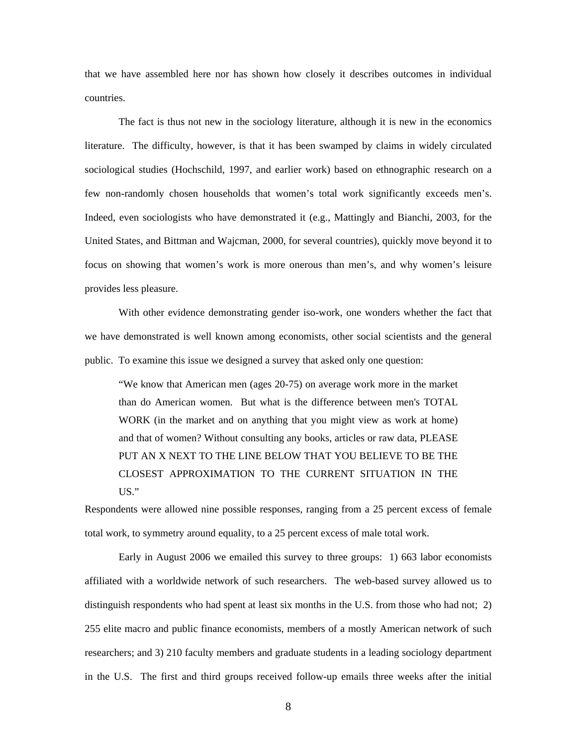that we have assembled here nor has shown how closely it describes outcomes in individual countries.

The fact is thus not new in the sociology literature, although it is new in the economics literature. The difficulty, however, is that it has been swamped by claims in widely circulated sociological studies (Hochschild, 1997, and earlier work) based on ethnographic research on a few non-randomly chosen households that women's total work significantly exceeds men's. Indeed, even sociologists who have demonstrated it (e.g., Mattingly and Bianchi, 2003, for the United States, and Bittman and Wajcman, 2000, for several countries), quickly move beyond it to focus on showing that women's work is more onerous than men's, and why women's leisure provides less pleasure.

 With other evidence demonstrating gender iso-work, one wonders whether the fact that we have demonstrated is well known among economists, other social scientists and the general public. To examine this issue we designed a survey that asked only one question:

"We know that American men (ages 20-75) on average work more in the market than do American women. But what is the difference between men's TOTAL WORK (in the market and on anything that you might view as work at home) and that of women? Without consulting any books, articles or raw data, PLEASE PUT AN X NEXT TO THE LINE BELOW THAT YOU BELIEVE TO BE THE CLOSEST APPROXIMATION TO THE CURRENT SITUATION IN THE US."

Respondents were allowed nine possible responses, ranging from a 25 percent excess of female total work, to symmetry around equality, to a 25 percent excess of male total work.

Early in August 2006 we emailed this survey to three groups: 1) 663 labor economists affiliated with a worldwide network of such researchers. The web-based survey allowed us to distinguish respondents who had spent at least six months in the U.S. from those who had not; 2) 255 elite macro and public finance economists, members of a mostly American network of such researchers; and 3) 210 faculty members and graduate students in a leading sociology department in the U.S. The first and third groups received follow-up emails three weeks after the initial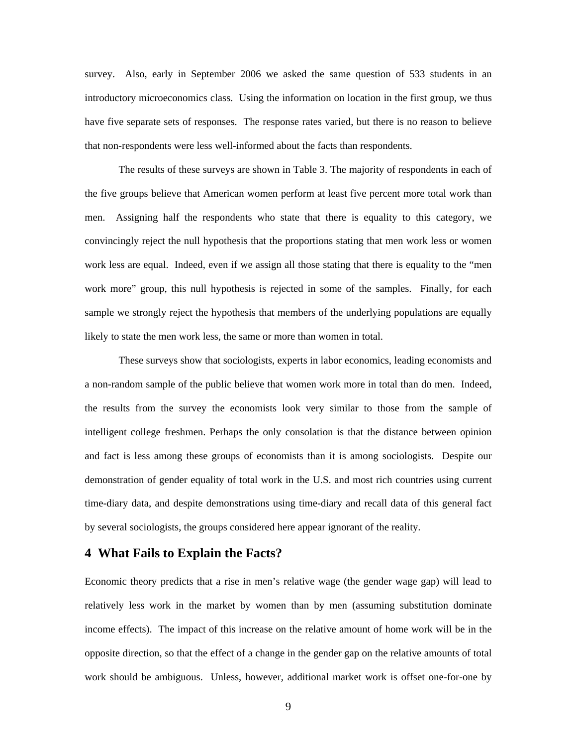survey. Also, early in September 2006 we asked the same question of 533 students in an introductory microeconomics class. Using the information on location in the first group, we thus have five separate sets of responses. The response rates varied, but there is no reason to believe that non-respondents were less well-informed about the facts than respondents.

 The results of these surveys are shown in Table 3. The majority of respondents in each of the five groups believe that American women perform at least five percent more total work than men. Assigning half the respondents who state that there is equality to this category, we convincingly reject the null hypothesis that the proportions stating that men work less or women work less are equal. Indeed, even if we assign all those stating that there is equality to the "men work more" group, this null hypothesis is rejected in some of the samples. Finally, for each sample we strongly reject the hypothesis that members of the underlying populations are equally likely to state the men work less, the same or more than women in total.

 These surveys show that sociologists, experts in labor economics, leading economists and a non-random sample of the public believe that women work more in total than do men. Indeed, the results from the survey the economists look very similar to those from the sample of intelligent college freshmen. Perhaps the only consolation is that the distance between opinion and fact is less among these groups of economists than it is among sociologists. Despite our demonstration of gender equality of total work in the U.S. and most rich countries using current time-diary data, and despite demonstrations using time-diary and recall data of this general fact by several sociologists, the groups considered here appear ignorant of the reality.

## **4 What Fails to Explain the Facts?**

Economic theory predicts that a rise in men's relative wage (the gender wage gap) will lead to relatively less work in the market by women than by men (assuming substitution dominate income effects). The impact of this increase on the relative amount of home work will be in the opposite direction, so that the effect of a change in the gender gap on the relative amounts of total work should be ambiguous. Unless, however, additional market work is offset one-for-one by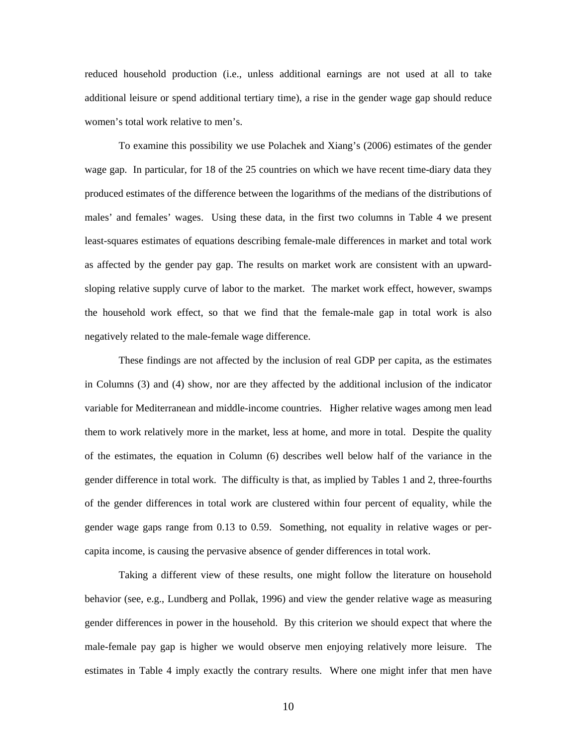reduced household production (i.e., unless additional earnings are not used at all to take additional leisure or spend additional tertiary time), a rise in the gender wage gap should reduce women's total work relative to men's.

 To examine this possibility we use Polachek and Xiang's (2006) estimates of the gender wage gap. In particular, for 18 of the 25 countries on which we have recent time-diary data they produced estimates of the difference between the logarithms of the medians of the distributions of males' and females' wages. Using these data, in the first two columns in Table 4 we present least-squares estimates of equations describing female-male differences in market and total work as affected by the gender pay gap. The results on market work are consistent with an upwardsloping relative supply curve of labor to the market. The market work effect, however, swamps the household work effect, so that we find that the female-male gap in total work is also negatively related to the male-female wage difference.

These findings are not affected by the inclusion of real GDP per capita, as the estimates in Columns (3) and (4) show, nor are they affected by the additional inclusion of the indicator variable for Mediterranean and middle-income countries. Higher relative wages among men lead them to work relatively more in the market, less at home, and more in total. Despite the quality of the estimates, the equation in Column (6) describes well below half of the variance in the gender difference in total work. The difficulty is that, as implied by Tables 1 and 2, three-fourths of the gender differences in total work are clustered within four percent of equality, while the gender wage gaps range from 0.13 to 0.59. Something, not equality in relative wages or percapita income, is causing the pervasive absence of gender differences in total work.

Taking a different view of these results, one might follow the literature on household behavior (see, e.g., Lundberg and Pollak, 1996) and view the gender relative wage as measuring gender differences in power in the household. By this criterion we should expect that where the male-female pay gap is higher we would observe men enjoying relatively more leisure. The estimates in Table 4 imply exactly the contrary results. Where one might infer that men have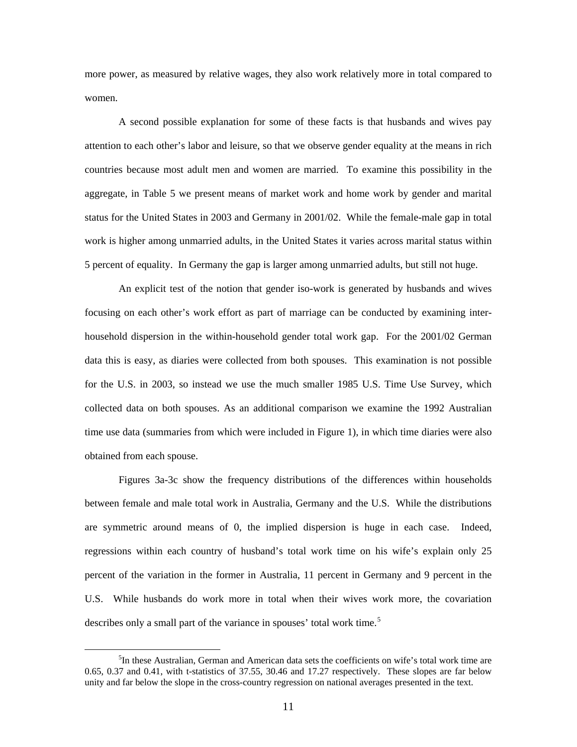more power, as measured by relative wages, they also work relatively more in total compared to women.

A second possible explanation for some of these facts is that husbands and wives pay attention to each other's labor and leisure, so that we observe gender equality at the means in rich countries because most adult men and women are married. To examine this possibility in the aggregate, in Table 5 we present means of market work and home work by gender and marital status for the United States in 2003 and Germany in 2001/02. While the female-male gap in total work is higher among unmarried adults, in the United States it varies across marital status within 5 percent of equality. In Germany the gap is larger among unmarried adults, but still not huge.

An explicit test of the notion that gender iso-work is generated by husbands and wives focusing on each other's work effort as part of marriage can be conducted by examining interhousehold dispersion in the within-household gender total work gap. For the 2001/02 German data this is easy, as diaries were collected from both spouses. This examination is not possible for the U.S. in 2003, so instead we use the much smaller 1985 U.S. Time Use Survey, which collected data on both spouses. As an additional comparison we examine the 1992 Australian time use data (summaries from which were included in Figure 1), in which time diaries were also obtained from each spouse.

Figures 3a-3c show the frequency distributions of the differences within households between female and male total work in Australia, Germany and the U.S. While the distributions are symmetric around means of 0, the implied dispersion is huge in each case. Indeed, regressions within each country of husband's total work time on his wife's explain only 25 percent of the variation in the former in Australia, 11 percent in Germany and 9 percent in the U.S. While husbands do work more in total when their wives work more, the covariation describes only a small part of the variance in spouses' total work time.<sup>[5](#page-12-0)</sup>

<span id="page-12-0"></span> $\frac{1}{5}$  ${}^{5}$ In these Australian, German and American data sets the coefficients on wife's total work time are 0.65, 0.37 and 0.41, with t-statistics of 37.55, 30.46 and 17.27 respectively. These slopes are far below unity and far below the slope in the cross-country regression on national averages presented in the text.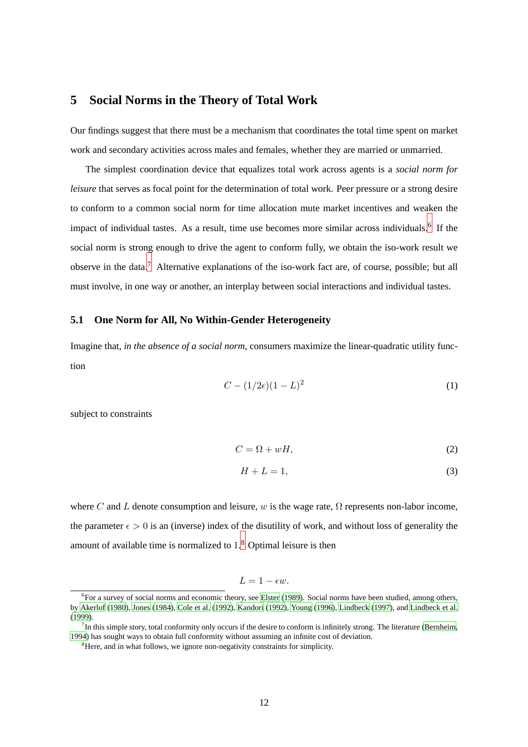#### **5 Social Norms in the Theory of Total Work**

Our findings suggest that there must be a mechanism that coordinates the total time spent on market work and secondary activities across males and females, whether they are married or unmarried.

The simplest coordination device that equalizes total work across agents is a *social norm for leisure* that serves as focal point for the determination of total work. Peer pressure or a strong desire to conform to a common social norm for time allocation mute market incentives and weaken the impact of individual tastes. As a result, time use becomes more similar across individuals.<sup>6</sup> If the social norm is strong enough to drive the agent to conform fully, we obtain the iso-work result we observe in the data.<sup>7</sup> Alternative explanations of the iso-work fact are, of course, possible; but all must involve, in one way or another, an interplay between social interactions and individual tastes.

#### **5.1 One Norm for All, No Within-Gender Heterogeneity**

Imagine that, *in the absence of a social norm*, consumers maximize the linear-quadratic utility function

$$
C - (1/2\epsilon)(1 - L)^2
$$
 (1)

subject to constraints

$$
C = \Omega + wH,\tag{2}
$$

$$
H + L = 1,\t\t(3)
$$

where C and L denote consumption and leisure, w is the wage rate,  $\Omega$  represents non-labor income, the parameter  $\epsilon > 0$  is an (inverse) index of the disutility of work, and without loss of generality the amount of available time is normalized to  $1<sup>8</sup>$  Optimal leisure is then

$$
L=1-\epsilon w.
$$

<sup>&</sup>lt;sup>6</sup>For a survey of social norms and economic theory, see [Elster \(1989](#page--1-0)). Social norms have been studied, among others, by [Akerlof \(1980\)](#page--1-1), [Jones](#page--1-2) [\(1984\)](#page--1-2), [Cole et al. \(1992](#page--1-3)), [Kandori \(1992](#page--1-4)), [Young \(1996\)](#page--1-5), [Lindbeck](#page--1-6) [\(1997](#page--1-6)), and [Lindbeck et al.](#page--1-7) [\(1999](#page--1-7)).

 $<sup>7</sup>$  In this simple story, total conformity only occurs if the desire to conform is infinitely strong. The literature [\(Bernheim,](#page--1-8)</sup> [1994](#page--1-8)) has sought ways to obtain full conformity without assuming an infinite cost of deviation.

<sup>&</sup>lt;sup>8</sup>Here, and in what follows, we ignore non-negativity constraints for simplicity.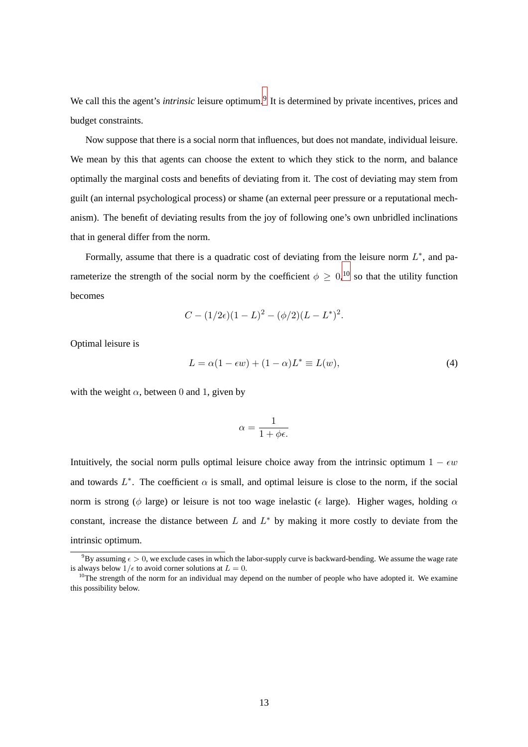We call this the agent's *intrinsic* leisure optimum.<sup>9</sup> It is determined by private incentives, prices and budget constraints.

Now suppose that there is a social norm that influences, but does not mandate, individual leisure. We mean by this that agents can choose the extent to which they stick to the norm, and balance optimally the marginal costs and benefits of deviating from it. The cost of deviating may stem from guilt (an internal psychological process) or shame (an external peer pressure or a reputational mechanism). The benefit of deviating results from the joy of following one's own unbridled inclinations that in general differ from the norm.

Formally, assume that there is a quadratic cost of deviating from the leisure norm  $L^*$ , and parameterize the strength of the social norm by the coefficient  $\phi \geq 0$ ,  $^{10}$  so that the utility function becomes

$$
C - (1/2\epsilon)(1 - L)^2 - (\phi/2)(L - L^*)^2.
$$

<span id="page-14-0"></span>Optimal leisure is

$$
L = \alpha(1 - \epsilon w) + (1 - \alpha)L^* \equiv L(w),\tag{4}
$$

with the weight  $\alpha$ , between 0 and 1, given by

$$
\alpha = \frac{1}{1 + \phi \epsilon}.
$$

Intuitively, the social norm pulls optimal leisure choice away from the intrinsic optimum  $1 - \epsilon w$ and towards  $L^*$ . The coefficient  $\alpha$  is small, and optimal leisure is close to the norm, if the social norm is strong ( $\phi$  large) or leisure is not too wage inelastic ( $\epsilon$  large). Higher wages, holding  $\alpha$ constant, increase the distance between  $L$  and  $L^*$  by making it more costly to deviate from the intrinsic optimum.

<sup>&</sup>lt;sup>9</sup>By assuming  $\epsilon > 0$ , we exclude cases in which the labor-supply curve is backward-bending. We assume the wage rate is always below  $1/\epsilon$  to avoid corner solutions at  $L = 0$ .

 $10$ The strength of the norm for an individual may depend on the number of people who have adopted it. We examine this possibility below.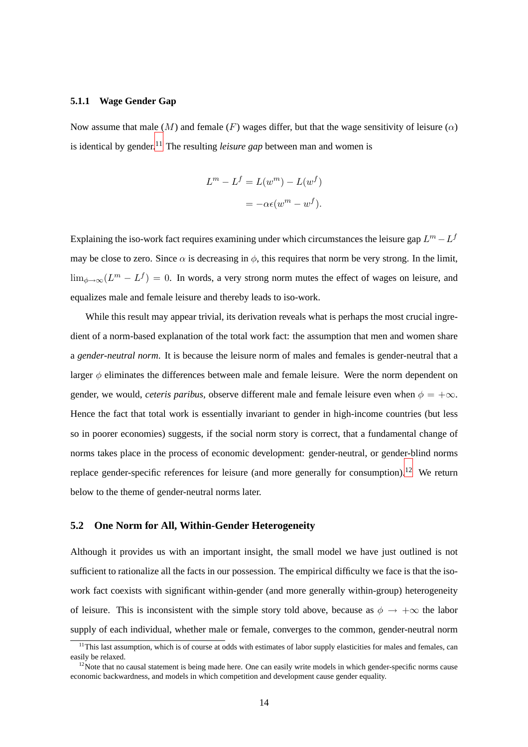#### **5.1.1 Wage Gender Gap**

Now assume that male  $(M)$  and female  $(F)$  wages differ, but that the wage sensitivity of leisure  $(\alpha)$ is identical by gender.<sup>11</sup> The resulting *leisure gap* between man and women is

$$
Lm - Lf = L(wm) - L(wf)
$$

$$
= -\alpha \epsilon (wm - wf).
$$

Explaining the iso-work fact requires examining under which circumstances the leisure gap  $L^m - L^f$ may be close to zero. Since  $\alpha$  is decreasing in  $\phi$ , this requires that norm be very strong. In the limit,  $\lim_{\phi \to \infty} (L^m - L^f) = 0$ . In words, a very strong norm mutes the effect of wages on leisure, and equalizes male and female leisure and thereby leads to iso-work.

While this result may appear trivial, its derivation reveals what is perhaps the most crucial ingredient of a norm-based explanation of the total work fact: the assumption that men and women share a *gender-neutral norm*. It is because the leisure norm of males and females is gender-neutral that a larger  $\phi$  eliminates the differences between male and female leisure. Were the norm dependent on gender, we would, *ceteris paribus*, observe different male and female leisure even when  $\phi = +\infty$ . Hence the fact that total work is essentially invariant to gender in high-income countries (but less so in poorer economies) suggests, if the social norm story is correct, that a fundamental change of norms takes place in the process of economic development: gender-neutral, or gender-blind norms replace gender-specific references for leisure (and more generally for consumption).<sup>12</sup> We return below to the theme of gender-neutral norms later.

#### **5.2 One Norm for All, Within-Gender Heterogeneity**

Although it provides us with an important insight, the small model we have just outlined is not sufficient to rationalize all the facts in our possession. The empirical difficulty we face is that the isowork fact coexists with significant within-gender (and more generally within-group) heterogeneity of leisure. This is inconsistent with the simple story told above, because as  $\phi \to +\infty$  the labor supply of each individual, whether male or female, converges to the common, gender-neutral norm

 $11$ This last assumption, which is of course at odds with estimates of labor supply elasticities for males and females, can easily be relaxed.

 $12$ Note that no causal statement is being made here. One can easily write models in which gender-specific norms cause economic backwardness, and models in which competition and development cause gender equality.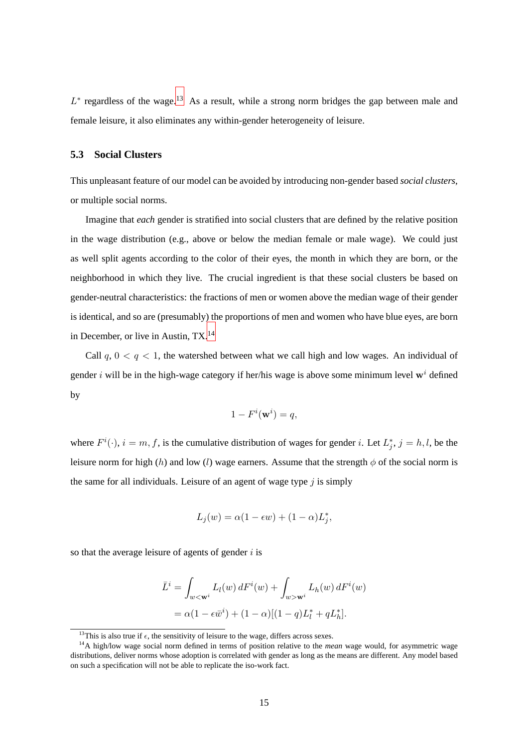$L^*$  regardless of the wage.<sup>13</sup> As a result, while a strong norm bridges the gap between male and female leisure, it also eliminates any within-gender heterogeneity of leisure.

## **5.3 Social Clusters**

This unpleasant feature of our model can be avoided by introducing non-gender based *social clusters*, or multiple social norms.

Imagine that *each* gender is stratified into social clusters that are defined by the relative position in the wage distribution (e.g., above or below the median female or male wage). We could just as well split agents according to the color of their eyes, the month in which they are born, or the neighborhood in which they live. The crucial ingredient is that these social clusters be based on gender-neutral characteristics: the fractions of men or women above the median wage of their gender is identical, and so are (presumably) the proportions of men and women who have blue eyes, are born in December, or live in Austin, TX.<sup>14</sup>

Call  $q$ ,  $0 < q < 1$ , the watershed between what we call high and low wages. An individual of gender i will be in the high-wage category if her/his wage is above some minimum level  $w<sup>i</sup>$  defined by

$$
1 - F^i(\mathbf{w}^i) = q,
$$

where  $F^i(\cdot)$ ,  $i = m, f$ , is the cumulative distribution of wages for gender *i*. Let  $L_i^*$  $j^*$ ,  $j = h, l$ , be the leisure norm for high (h) and low (l) wage earners. Assume that the strength  $\phi$  of the social norm is the same for all individuals. Leisure of an agent of wage type  $j$  is simply

$$
L_j(w) = \alpha(1 - \epsilon w) + (1 - \alpha)L_j^*,
$$

so that the average leisure of agents of gender  $i$  is

$$
\bar{L}^i = \int_{w < \mathbf{w}^i} L_l(w) \, dF^i(w) + \int_{w > \mathbf{w}^i} L_h(w) \, dF^i(w)
$$
\n
$$
= \alpha (1 - \epsilon \bar{w}^i) + (1 - \alpha)[(1 - q)L_l^* + qL_h^*].
$$

<sup>&</sup>lt;sup>13</sup>This is also true if  $\epsilon$ , the sensitivity of leisure to the wage, differs across sexes.

<sup>14</sup>A high/low wage social norm defined in terms of position relative to the *mean* wage would, for asymmetric wage distributions, deliver norms whose adoption is correlated with gender as long as the means are different. Any model based on such a specification will not be able to replicate the iso-work fact.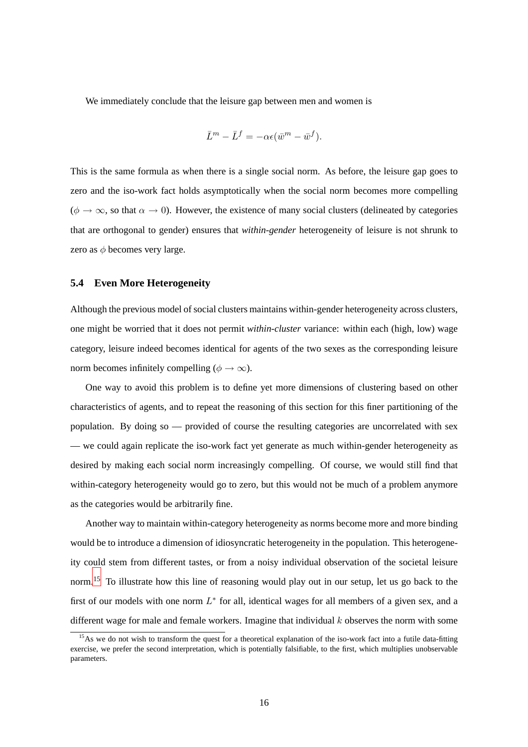We immediately conclude that the leisure gap between men and women is

$$
\bar{L}^m - \bar{L}^f = -\alpha \epsilon (\bar{w}^m - \bar{w}^f).
$$

This is the same formula as when there is a single social norm. As before, the leisure gap goes to zero and the iso-work fact holds asymptotically when the social norm becomes more compelling  $(\phi \to \infty)$ , so that  $\alpha \to 0$ ). However, the existence of many social clusters (delineated by categories that are orthogonal to gender) ensures that *within-gender* heterogeneity of leisure is not shrunk to zero as  $\phi$  becomes very large.

#### **5.4 Even More Heterogeneity**

Although the previous model of social clusters maintains within-gender heterogeneity across clusters, one might be worried that it does not permit *within-cluster* variance: within each (high, low) wage category, leisure indeed becomes identical for agents of the two sexes as the corresponding leisure norm becomes infinitely compelling ( $\phi \rightarrow \infty$ ).

One way to avoid this problem is to define yet more dimensions of clustering based on other characteristics of agents, and to repeat the reasoning of this section for this finer partitioning of the population. By doing so — provided of course the resulting categories are uncorrelated with sex — we could again replicate the iso-work fact yet generate as much within-gender heterogeneity as desired by making each social norm increasingly compelling. Of course, we would still find that within-category heterogeneity would go to zero, but this would not be much of a problem anymore as the categories would be arbitrarily fine.

Another way to maintain within-category heterogeneity as norms become more and more binding would be to introduce a dimension of idiosyncratic heterogeneity in the population. This heterogeneity could stem from different tastes, or from a noisy individual observation of the societal leisure norm.<sup>15</sup> To illustrate how this line of reasoning would play out in our setup, let us go back to the first of our models with one norm  $L^*$  for all, identical wages for all members of a given sex, and a different wage for male and female workers. Imagine that individual  $k$  observes the norm with some

 $15$ As we do not wish to transform the quest for a theoretical explanation of the iso-work fact into a futile data-fitting exercise, we prefer the second interpretation, which is potentially falsifiable, to the first, which multiplies unobservable parameters.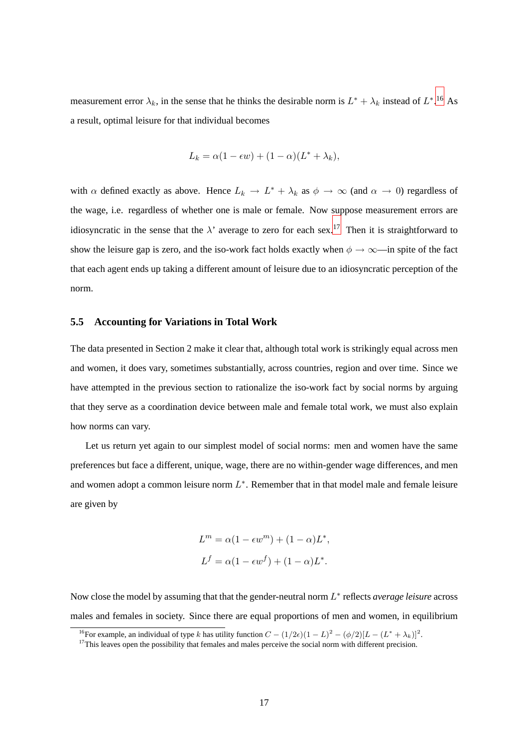measurement error  $\lambda_k$ , in the sense that he thinks the desirable norm is  $L^* + \lambda_k$  instead of  $L^*$ .<sup>16</sup> As a result, optimal leisure for that individual becomes

$$
L_k = \alpha(1 - \epsilon w) + (1 - \alpha)(L^* + \lambda_k),
$$

with  $\alpha$  defined exactly as above. Hence  $L_k \to L^* + \lambda_k$  as  $\phi \to \infty$  (and  $\alpha \to 0$ ) regardless of the wage, i.e. regardless of whether one is male or female. Now suppose measurement errors are idiosyncratic in the sense that the  $\lambda$ ' average to zero for each sex.<sup>17</sup> Then it is straightforward to show the leisure gap is zero, and the iso-work fact holds exactly when  $\phi \to \infty$ —in spite of the fact that each agent ends up taking a different amount of leisure due to an idiosyncratic perception of the norm.

#### **5.5 Accounting for Variations in Total Work**

The data presented in Section 2 make it clear that, although total work is strikingly equal across men and women, it does vary, sometimes substantially, across countries, region and over time. Since we have attempted in the previous section to rationalize the iso-work fact by social norms by arguing that they serve as a coordination device between male and female total work, we must also explain how norms can vary.

Let us return yet again to our simplest model of social norms: men and women have the same preferences but face a different, unique, wage, there are no within-gender wage differences, and men and women adopt a common leisure norm  $L^*$ . Remember that in that model male and female leisure are given by

$$
Lm = \alpha(1 - \epsilon wm) + (1 - \alpha)L*,
$$
  

$$
Lf = \alpha(1 - \epsilon wf) + (1 - \alpha)L*.
$$

Now close the model by assuming that that the gender-neutral norm  $L^*$  reflects *average leisure* across males and females in society. Since there are equal proportions of men and women, in equilibrium

<sup>&</sup>lt;sup>16</sup>For example, an individual of type k has utility function  $C - (1/2\epsilon)(1-L)^2 - (\phi/2)[L - (L^* + \lambda_k)]^2$ .

<sup>&</sup>lt;sup>17</sup>This leaves open the possibility that females and males perceive the social norm with different precision.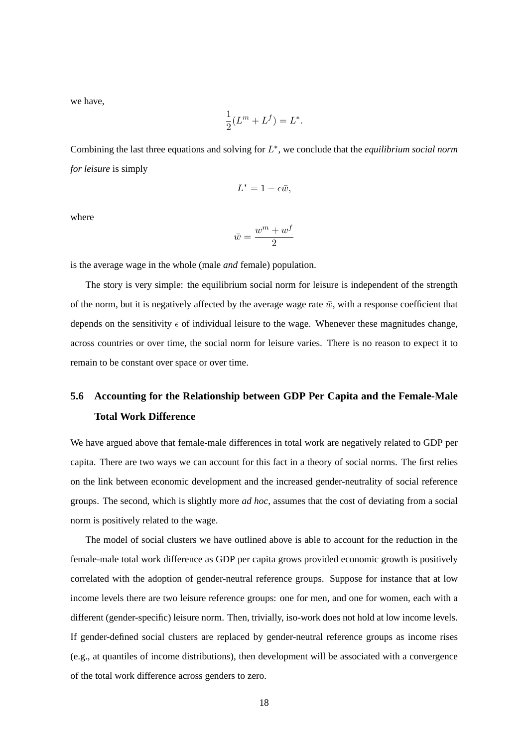we have,

$$
\frac{1}{2}(L^m + L^f) = L^*.
$$

Combining the last three equations and solving for L ∗ , we conclude that the *equilibrium social norm for leisure* is simply

$$
L^* = 1 - \epsilon \bar{w},
$$

where

$$
\bar{w}=\frac{w^m+w^f}{2}
$$

is the average wage in the whole (male *and* female) population.

The story is very simple: the equilibrium social norm for leisure is independent of the strength of the norm, but it is negatively affected by the average wage rate  $\bar{w}$ , with a response coefficient that depends on the sensitivity  $\epsilon$  of individual leisure to the wage. Whenever these magnitudes change, across countries or over time, the social norm for leisure varies. There is no reason to expect it to remain to be constant over space or over time.

# **5.6 Accounting for the Relationship between GDP Per Capita and the Female-Male Total Work Difference**

We have argued above that female-male differences in total work are negatively related to GDP per capita. There are two ways we can account for this fact in a theory of social norms. The first relies on the link between economic development and the increased gender-neutrality of social reference groups. The second, which is slightly more *ad hoc*, assumes that the cost of deviating from a social norm is positively related to the wage.

The model of social clusters we have outlined above is able to account for the reduction in the female-male total work difference as GDP per capita grows provided economic growth is positively correlated with the adoption of gender-neutral reference groups. Suppose for instance that at low income levels there are two leisure reference groups: one for men, and one for women, each with a different (gender-specific) leisure norm. Then, trivially, iso-work does not hold at low income levels. If gender-defined social clusters are replaced by gender-neutral reference groups as income rises (e.g., at quantiles of income distributions), then development will be associated with a convergence of the total work difference across genders to zero.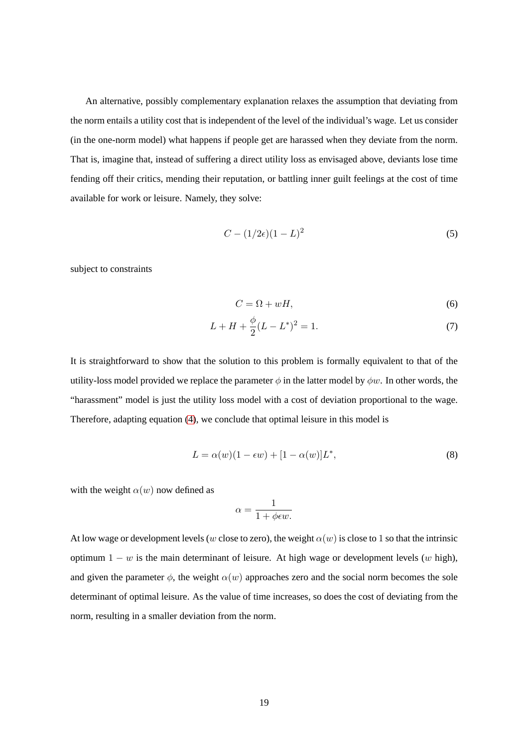An alternative, possibly complementary explanation relaxes the assumption that deviating from the norm entails a utility cost that is independent of the level of the individual's wage. Let us consider (in the one-norm model) what happens if people get are harassed when they deviate from the norm. That is, imagine that, instead of suffering a direct utility loss as envisaged above, deviants lose time fending off their critics, mending their reputation, or battling inner guilt feelings at the cost of time available for work or leisure. Namely, they solve:

$$
C - (1/2\epsilon)(1 - L)^2 \tag{5}
$$

subject to constraints

$$
C = \Omega + wH,\tag{6}
$$

$$
L + H + \frac{\phi}{2}(L - L^*)^2 = 1.
$$
\n(7)

It is straightforward to show that the solution to this problem is formally equivalent to that of the utility-loss model provided we replace the parameter  $\phi$  in the latter model by  $\phi w$ . In other words, the "harassment" model is just the utility loss model with a cost of deviation proportional to the wage. Therefore, adapting equation [\(4\)](#page-14-0), we conclude that optimal leisure in this model is

$$
L = \alpha(w)(1 - \epsilon w) + [1 - \alpha(w)]L^*,\tag{8}
$$

with the weight  $\alpha(w)$  now defined as

$$
\alpha = \frac{1}{1 + \phi \epsilon w}.
$$

At low wage or development levels (w close to zero), the weight  $\alpha(w)$  is close to 1 so that the intrinsic optimum  $1 - w$  is the main determinant of leisure. At high wage or development levels (w high), and given the parameter  $\phi$ , the weight  $\alpha(w)$  approaches zero and the social norm becomes the sole determinant of optimal leisure. As the value of time increases, so does the cost of deviating from the norm, resulting in a smaller deviation from the norm.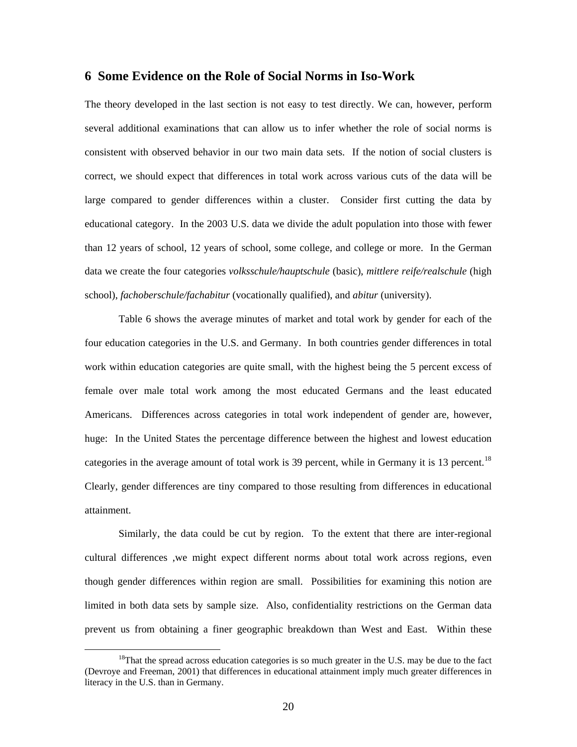## **6 Some Evidence on the Role of Social Norms in Iso-Work**

The theory developed in the last section is not easy to test directly. We can, however, perform several additional examinations that can allow us to infer whether the role of social norms is consistent with observed behavior in our two main data sets. If the notion of social clusters is correct, we should expect that differences in total work across various cuts of the data will be large compared to gender differences within a cluster. Consider first cutting the data by educational category. In the 2003 U.S. data we divide the adult population into those with fewer than 12 years of school, 12 years of school, some college, and college or more. In the German data we create the four categories *volksschule/hauptschule* (basic), *mittlere reife/realschule* (high school), *fachoberschule/fachabitur* (vocationally qualified), and *abitur* (university).

Table 6 shows the average minutes of market and total work by gender for each of the four education categories in the U.S. and Germany. In both countries gender differences in total work within education categories are quite small, with the highest being the 5 percent excess of female over male total work among the most educated Germans and the least educated Americans. Differences across categories in total work independent of gender are, however, huge: In the United States the percentage difference between the highest and lowest education categories in the average amount of total work is 39 percent, while in Germany it is 13 percent.<sup>18</sup> Clearly, gender differences are tiny compared to those resulting from differences in educational attainment.

Similarly, the data could be cut by region. To the extent that there are inter-regional cultural differences ,we might expect different norms about total work across regions, even though gender differences within region are small. Possibilities for examining this notion are limited in both data sets by sample size. Also, confidentiality restrictions on the German data prevent us from obtaining a finer geographic breakdown than West and East. Within these

<span id="page-21-0"></span><sup>&</sup>lt;sup>18</sup>That the spread across education categories is so much greater in the U.S. may be due to the fact (Devroye and Freeman, 2001) that differences in educational attainment imply much greater differences in literacy in the U.S. than in Germany.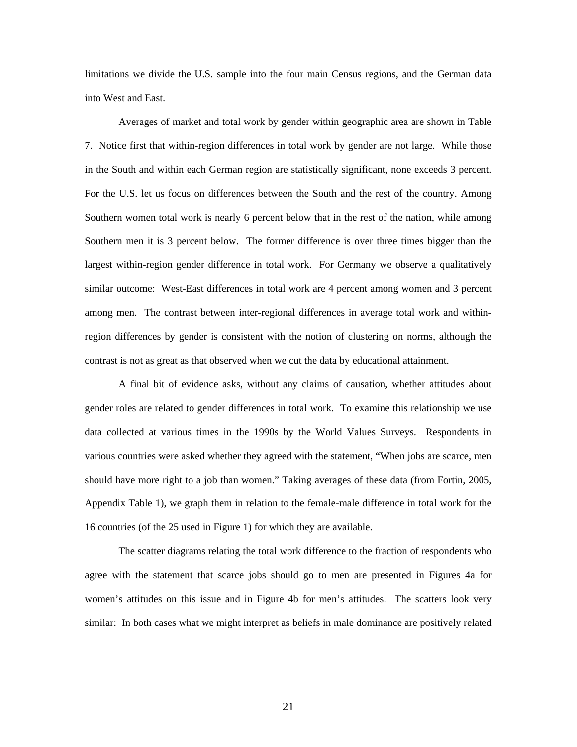limitations we divide the U.S. sample into the four main Census regions, and the German data into West and East.

Averages of market and total work by gender within geographic area are shown in Table 7. Notice first that within-region differences in total work by gender are not large. While those in the South and within each German region are statistically significant, none exceeds 3 percent. For the U.S. let us focus on differences between the South and the rest of the country. Among Southern women total work is nearly 6 percent below that in the rest of the nation, while among Southern men it is 3 percent below. The former difference is over three times bigger than the largest within-region gender difference in total work. For Germany we observe a qualitatively similar outcome: West-East differences in total work are 4 percent among women and 3 percent among men. The contrast between inter-regional differences in average total work and withinregion differences by gender is consistent with the notion of clustering on norms, although the contrast is not as great as that observed when we cut the data by educational attainment.

A final bit of evidence asks, without any claims of causation, whether attitudes about gender roles are related to gender differences in total work. To examine this relationship we use data collected at various times in the 1990s by the World Values Surveys. Respondents in various countries were asked whether they agreed with the statement, "When jobs are scarce, men should have more right to a job than women." Taking averages of these data (from Fortin, 2005, Appendix Table 1), we graph them in relation to the female-male difference in total work for the 16 countries (of the 25 used in Figure 1) for which they are available.

The scatter diagrams relating the total work difference to the fraction of respondents who agree with the statement that scarce jobs should go to men are presented in Figures 4a for women's attitudes on this issue and in Figure 4b for men's attitudes. The scatters look very similar: In both cases what we might interpret as beliefs in male dominance are positively related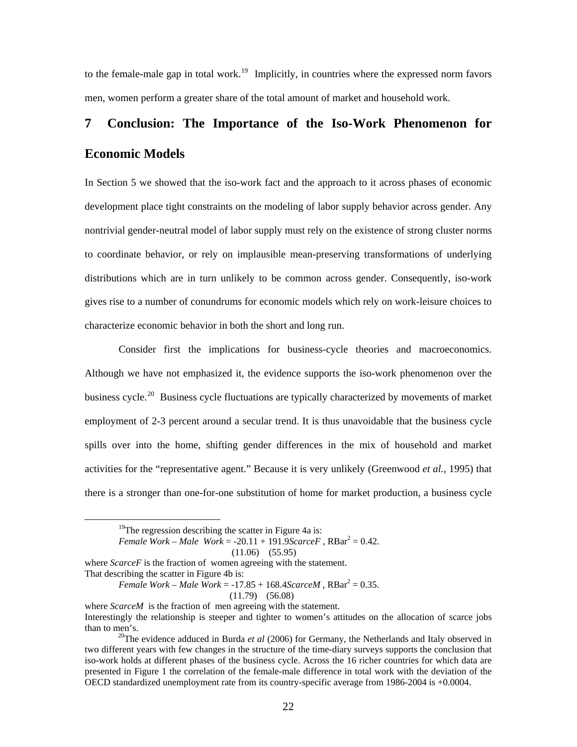to the female-male gap in total work.<sup>[19](#page-23-0)</sup> Implicitly, in countries where the expressed norm favors men, women perform a greater share of the total amount of market and household work.

# **7 Conclusion: The Importance of the Iso-Work Phenomenon for Economic Models**

In Section 5 we showed that the iso-work fact and the approach to it across phases of economic development place tight constraints on the modeling of labor supply behavior across gender. Any nontrivial gender-neutral model of labor supply must rely on the existence of strong cluster norms to coordinate behavior, or rely on implausible mean-preserving transformations of underlying distributions which are in turn unlikely to be common across gender. Consequently, iso-work gives rise to a number of conundrums for economic models which rely on work-leisure choices to characterize economic behavior in both the short and long run.

 Consider first the implications for business-cycle theories and macroeconomics. Although we have not emphasized it, the evidence supports the iso-work phenomenon over the business cycle.<sup>[20](#page-23-1)</sup> Business cycle fluctuations are typically characterized by movements of market employment of 2-3 percent around a secular trend. It is thus unavoidable that the business cycle spills over into the home, shifting gender differences in the mix of household and market activities for the "representative agent." Because it is very unlikely (Greenwood *et al.*, 1995) that there is a stronger than one-for-one substitution of home for market production, a business cycle

$$
(11.06) (55.95)
$$

<span id="page-23-0"></span>where *ScarceF* is the fraction of women agreeing with the statement. That describing the scatter in Figure 4b is:

*Female Work – Male Work* =  $-17.85 + 168.4$ *ScarceM*,  $RBar^2 = 0.35$ . (11.79) (56.08)

<sup>&</sup>lt;sup>19</sup>The regression describing the scatter in Figure 4a is:

*Female Work – Male Work* =  $-20.11 + 191.9$ *ScarceF*,  $RBar^2 = 0.42$ .

where *ScarceM* is the fraction of men agreeing with the statement. Interestingly the relationship is steeper and tighter to women's attitudes on the allocation of scarce jobs than to men's.<br><sup>20</sup>The evidence adduced in Burda *et al* (2006) for Germany, the Netherlands and Italy observed in

<span id="page-23-1"></span>two different years with few changes in the structure of the time-diary surveys supports the conclusion that iso-work holds at different phases of the business cycle. Across the 16 richer countries for which data are presented in Figure 1 the correlation of the female-male difference in total work with the deviation of the OECD standardized unemployment rate from its country-specific average from 1986-2004 is +0.0004.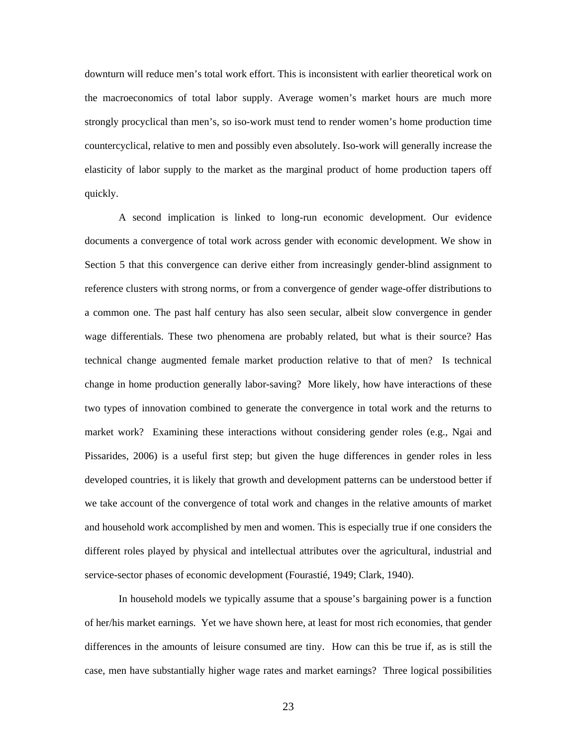downturn will reduce men's total work effort. This is inconsistent with earlier theoretical work on the macroeconomics of total labor supply. Average women's market hours are much more strongly procyclical than men's, so iso-work must tend to render women's home production time countercyclical, relative to men and possibly even absolutely. Iso-work will generally increase the elasticity of labor supply to the market as the marginal product of home production tapers off quickly.

 A second implication is linked to long-run economic development. Our evidence documents a convergence of total work across gender with economic development. We show in Section 5 that this convergence can derive either from increasingly gender-blind assignment to reference clusters with strong norms, or from a convergence of gender wage-offer distributions to a common one. The past half century has also seen secular, albeit slow convergence in gender wage differentials. These two phenomena are probably related, but what is their source? Has technical change augmented female market production relative to that of men? Is technical change in home production generally labor-saving? More likely, how have interactions of these two types of innovation combined to generate the convergence in total work and the returns to market work? Examining these interactions without considering gender roles (e.g., Ngai and Pissarides, 2006) is a useful first step; but given the huge differences in gender roles in less developed countries, it is likely that growth and development patterns can be understood better if we take account of the convergence of total work and changes in the relative amounts of market and household work accomplished by men and women. This is especially true if one considers the different roles played by physical and intellectual attributes over the agricultural, industrial and service-sector phases of economic development (Fourastié, 1949; Clark, 1940).

In household models we typically assume that a spouse's bargaining power is a function of her/his market earnings. Yet we have shown here, at least for most rich economies, that gender differences in the amounts of leisure consumed are tiny. How can this be true if, as is still the case, men have substantially higher wage rates and market earnings? Three logical possibilities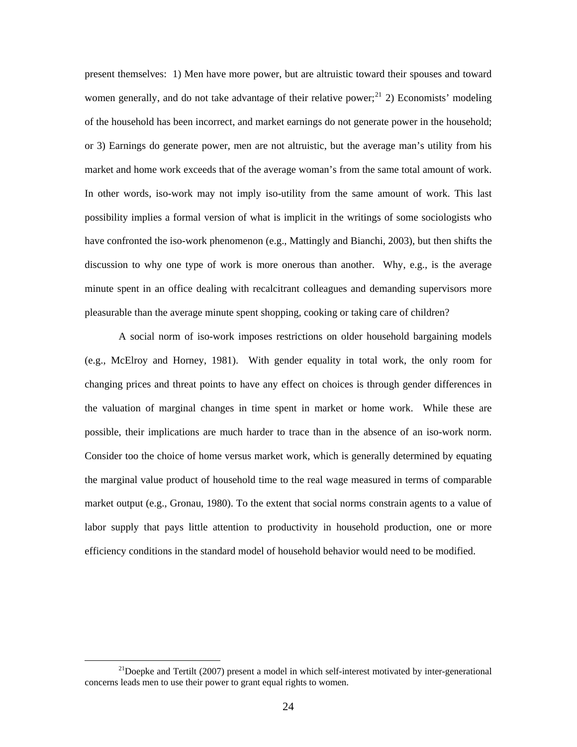present themselves: 1) Men have more power, but are altruistic toward their spouses and toward women generally, and do not take advantage of their relative power;  $2^{1/2}$  Economists' modeling of the household has been incorrect, and market earnings do not generate power in the household; or 3) Earnings do generate power, men are not altruistic, but the average man's utility from his market and home work exceeds that of the average woman's from the same total amount of work. In other words, iso-work may not imply iso-utility from the same amount of work. This last possibility implies a formal version of what is implicit in the writings of some sociologists who have confronted the iso-work phenomenon (e.g., Mattingly and Bianchi, 2003), but then shifts the discussion to why one type of work is more onerous than another. Why, e.g., is the average minute spent in an office dealing with recalcitrant colleagues and demanding supervisors more pleasurable than the average minute spent shopping, cooking or taking care of children?

 A social norm of iso-work imposes restrictions on older household bargaining models (e.g., McElroy and Horney, 1981). With gender equality in total work, the only room for changing prices and threat points to have any effect on choices is through gender differences in the valuation of marginal changes in time spent in market or home work. While these are possible, their implications are much harder to trace than in the absence of an iso-work norm. Consider too the choice of home versus market work, which is generally determined by equating the marginal value product of household time to the real wage measured in terms of comparable market output (e.g., Gronau, 1980). To the extent that social norms constrain agents to a value of labor supply that pays little attention to productivity in household production, one or more efficiency conditions in the standard model of household behavior would need to be modified.

<span id="page-25-0"></span><sup>&</sup>lt;sup>21</sup>Doepke and Tertilt (2007) present a model in which self-interest motivated by inter-generational concerns leads men to use their power to grant equal rights to women.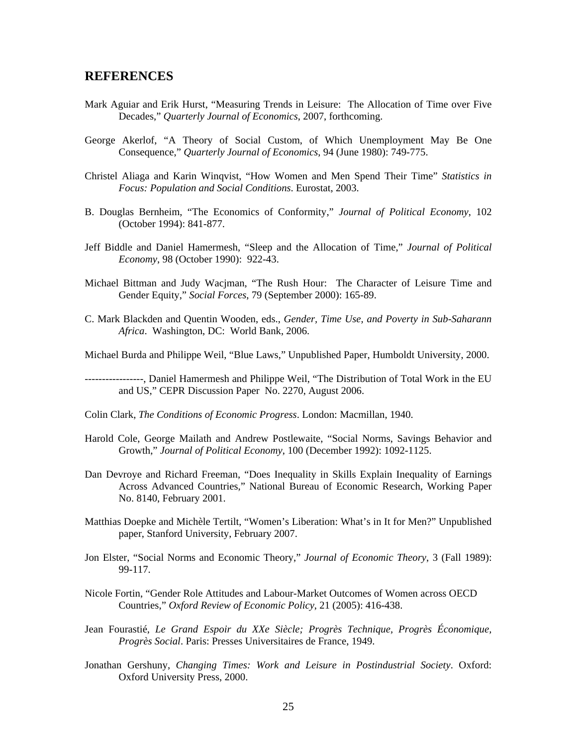## **REFERENCES**

- Mark Aguiar and Erik Hurst, "Measuring Trends in Leisure: The Allocation of Time over Five Decades," *Quarterly Journal of Economics*, 2007, forthcoming.
- George Akerlof, "A Theory of Social Custom, of Which Unemployment May Be One Consequence," *Quarterly Journal of Economics*, 94 (June 1980): 749-775.
- Christel Aliaga and Karin Winqvist, "How Women and Men Spend Their Time" *Statistics in Focus: Population and Social Conditions*. Eurostat, 2003.
- B. Douglas Bernheim, "The Economics of Conformity," *Journal of Political Economy*, 102 (October 1994): 841-877.
- Jeff Biddle and Daniel Hamermesh, "Sleep and the Allocation of Time," *Journal of Political Economy*, 98 (October 1990): 922-43.
- Michael Bittman and Judy Wacjman, "The Rush Hour: The Character of Leisure Time and Gender Equity," *Social Forces*, 79 (September 2000): 165-89.
- C. Mark Blackden and Quentin Wooden, eds., *Gender, Time Use, and Poverty in Sub-Saharann Africa*. Washington, DC: World Bank, 2006.
- Michael Burda and Philippe Weil, "Blue Laws," Unpublished Paper, Humboldt University, 2000.
- -----------------, Daniel Hamermesh and Philippe Weil, "The Distribution of Total Work in the EU and US," CEPR Discussion Paper No. 2270, August 2006.
- Colin Clark, *The Conditions of Economic Progress*. London: Macmillan, 1940.
- Harold Cole, George Mailath and Andrew Postlewaite, "Social Norms, Savings Behavior and Growth," *Journal of Political Economy*, 100 (December 1992): 1092-1125.
- Dan Devroye and Richard Freeman, "Does Inequality in Skills Explain Inequality of Earnings Across Advanced Countries," National Bureau of Economic Research, Working Paper No. 8140, February 2001.
- Matthias Doepke and Michèle Tertilt, "Women's Liberation: What's in It for Men?" Unpublished paper, Stanford University, February 2007.
- Jon Elster, "Social Norms and Economic Theory," *Journal of Economic Theory*, 3 (Fall 1989): 99-117.
- Nicole Fortin, "Gender Role Attitudes and Labour-Market Outcomes of Women across OECD Countries," *Oxford Review of Economic Policy*, 21 (2005): 416-438.
- Jean Fourastié, *Le Grand Espoir du XXe Siècle; Progrès Technique, Progrès Économique, Progrès Social*. Paris: Presses Universitaires de France, 1949.
- Jonathan Gershuny, *Changing Times: Work and Leisure in Postindustrial Society*. Oxford: Oxford University Press, 2000.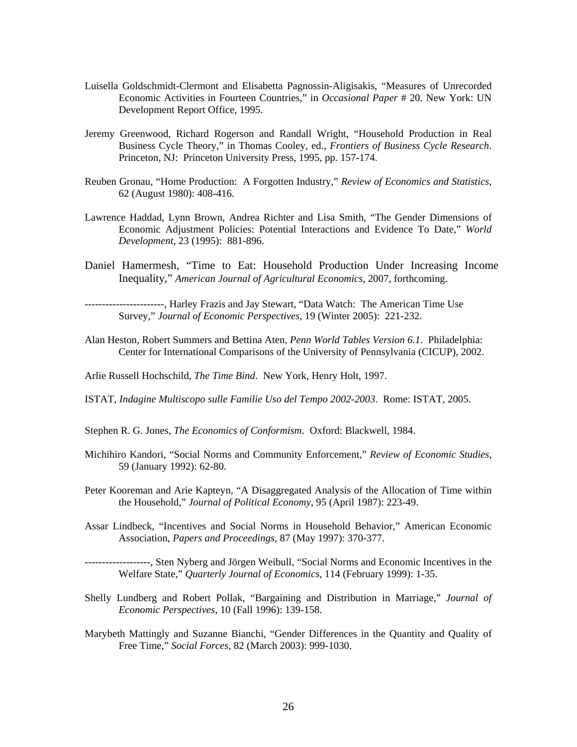- Luisella Goldschmidt-Clermont and Elisabetta Pagnossin-Aligisakis, "Measures of Unrecorded Economic Activities in Fourteen Countries," in *Occasional Paper* # 20. New York: UN Development Report Office, 1995.
- Jeremy Greenwood, Richard Rogerson and Randall Wright, "Household Production in Real Business Cycle Theory," in Thomas Cooley, ed., *Frontiers of Business Cycle Research*. Princeton, NJ: Princeton University Press, 1995, pp. 157-174.
- Reuben Gronau, "Home Production: A Forgotten Industry," *Review of Economics and Statistics*, 62 (August 1980): 408-416.
- Lawrence Haddad, Lynn Brown, Andrea Richter and Lisa Smith, "The Gender Dimensions of Economic Adjustment Policies: Potential Interactions and Evidence To Date," *World Development*, 23 (1995): 881-896.
- Daniel Hamermesh, "Time to Eat: Household Production Under Increasing Income Inequality," *American Journal of Agricultural Economics*, 2007, forthcoming.

-----------------------, Harley Frazis and Jay Stewart, "Data Watch: The American Time Use Survey," *Journal of Economic Perspectives*, 19 (Winter 2005): 221-232.

Alan Heston, Robert Summers and Bettina Aten, *Penn World Tables Version 6.1*. Philadelphia: Center for International Comparisons of the University of Pennsylvania (CICUP), 2002.

Arlie Russell Hochschild, *The Time Bind*. New York, Henry Holt, 1997.

- ISTAT, *Indagine Multiscopo sulle Familie Uso del Tempo 2002-2003*. Rome: ISTAT, 2005.
- Stephen R. G. Jones, *The Economics of Conformism*. Oxford: Blackwell, 1984.
- Michihiro Kandori, "Social Norms and Community Enforcement," *Review of Economic Studies*, 59 (January 1992): 62-80.
- Peter Kooreman and Arie Kapteyn, "A Disaggregated Analysis of the Allocation of Time within the Household," *Journal of Political Economy*, 95 (April 1987): 223-49.
- Assar Lindbeck, "Incentives and Social Norms in Household Behavior," American Economic Association, *Papers and Proceedings*, 87 (May 1997): 370-377.

-------------------, Sten Nyberg and Jörgen Weibull, "Social Norms and Economic Incentives in the Welfare State," *Quarterly Journal of Economics*, 114 (February 1999): 1-35.

- Shelly Lundberg and Robert Pollak, "Bargaining and Distribution in Marriage," *Journal of Economic Perspectives*, 10 (Fall 1996): 139-158.
- Marybeth Mattingly and Suzanne Bianchi, "Gender Differences in the Quantity and Quality of Free Time," *Social Forces*, 82 (March 2003): 999-1030.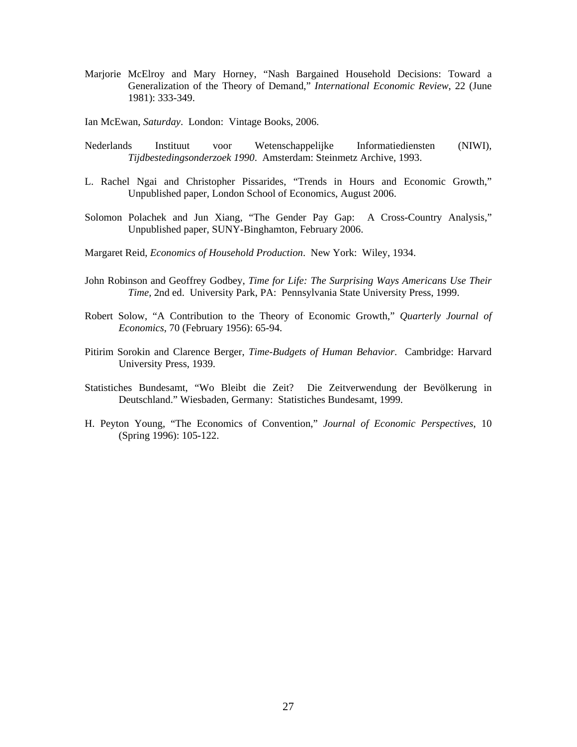Marjorie McElroy and Mary Horney, "Nash Bargained Household Decisions: Toward a Generalization of the Theory of Demand," *International Economic Review*, 22 (June 1981): 333-349.

Ian McEwan, *Saturday*. London: Vintage Books, 2006.

- Nederlands Instituut voor Wetenschappelijke Informatiediensten (NIWI), *Tijdbestedingsonderzoek 1990*. Amsterdam: Steinmetz Archive, 1993.
- L. Rachel Ngai and Christopher Pissarides, "Trends in Hours and Economic Growth," Unpublished paper, London School of Economics, August 2006.
- Solomon Polachek and Jun Xiang, "The Gender Pay Gap: A Cross-Country Analysis," Unpublished paper, SUNY-Binghamton, February 2006.
- Margaret Reid, *Economics of Household Production*. New York: Wiley, 1934.
- John Robinson and Geoffrey Godbey, *Time for Life: The Surprising Ways Americans Use Their Time,* 2nd ed. University Park, PA: Pennsylvania State University Press, 1999.
- Robert Solow, "A Contribution to the Theory of Economic Growth," *Quarterly Journal of Economics*, 70 (February 1956): 65-94.
- Pitirim Sorokin and Clarence Berger, *Time-Budgets of Human Behavior*. Cambridge: Harvard University Press, 1939.
- Statistiches Bundesamt, "Wo Bleibt die Zeit? Die Zeitverwendung der Bevölkerung in Deutschland." Wiesbaden, Germany: Statistiches Bundesamt, 1999.
- H. Peyton Young, "The Economics of Convention," *Journal of Economic Perspectives*, 10 (Spring 1996): 105-122.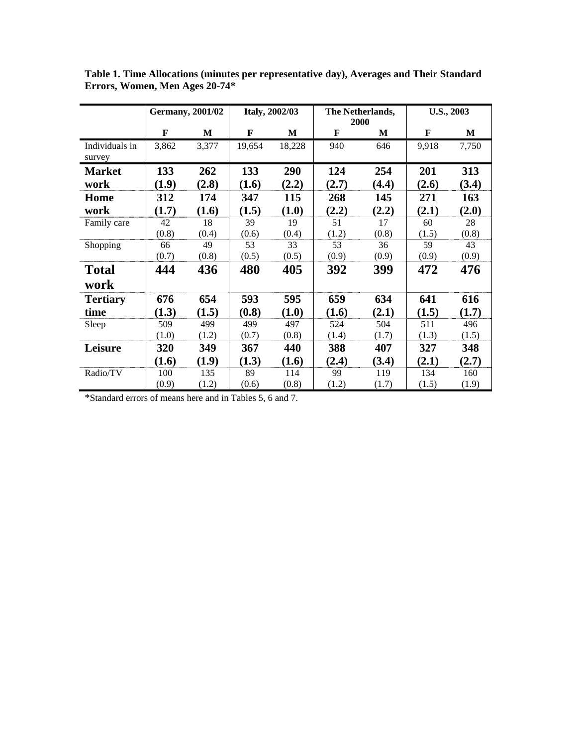|                 | <b>Germany</b> , 2001/02 |       | <b>Italy, 2002/03</b> |        | The Netherlands,<br>2000 |       | <b>U.S., 2003</b> |       |
|-----------------|--------------------------|-------|-----------------------|--------|--------------------------|-------|-------------------|-------|
|                 | F                        | M     | F                     | M      | F                        | M     | F                 | M     |
| Individuals in  | 3,862                    | 3,377 | 19,654                | 18,228 | 940                      | 646   | 9,918             | 7,750 |
| survey          |                          |       |                       |        |                          |       |                   |       |
| <b>Market</b>   | 133                      | 262   | 133                   | 290    | 124                      | 254   | 201               | 313   |
| work            | (1.9)                    | (2.8) | (1.6)                 | (2.2)  | (2.7)                    | (4.4) | (2.6)             | (3.4) |
| Home            | 312                      | 174   | 347                   | 115    | 268                      | 145   | 271               | 163   |
| work            | (1.7)                    | (1.6) | (1.5)                 | (1.0)  | (2.2)                    | (2.2) | (2.1)             | (2.0) |
| Family care     | 42                       | 18    | 39                    | 19     | 51                       | 17    | 60                | 28    |
|                 | (0.8)                    | (0.4) | (0.6)                 | (0.4)  | (1.2)                    | (0.8) | (1.5)             | (0.8) |
| Shopping        | 66                       | 49    | 53                    | 33     | 53                       | 36    | 59                | 43    |
|                 | (0.7)                    | (0.8) | (0.5)                 | (0.5)  | (0.9)                    | (0.9) | (0.9)             | (0.9) |
| <b>Total</b>    | 444                      | 436   | 480                   | 405    | 392                      | 399   | 472               | 476   |
| work            |                          |       |                       |        |                          |       |                   |       |
| <b>Tertiary</b> | 676                      | 654   | 593                   | 595    | 659                      | 634   | 641               | 616   |
| time            | (1.3)                    | (1.5) | (0.8)                 | (1.0)  | (1.6)                    | (2.1) | (1.5)             | (1.7) |
| Sleep           | 509                      | 499   | 499                   | 497    | 524                      | 504   | 511               | 496   |
|                 | (1.0)                    | (1.2) | (0.7)                 | (0.8)  | (1.4)                    | (1.7) | (1.3)             | (1.5) |
| Leisure         | 320                      | 349   | 367                   | 440    | 388                      | 407   | 327               | 348   |
|                 | (1.6)                    | (1.9) | (1.3)                 | (1.6)  | (2.4)                    | (3.4) | (2.1)             | (2.7) |
| Radio/TV        | 100                      | 135   | 89                    | 114    | 99                       | 119   | 134               | 160   |
|                 | (0.9)                    | (1.2) | (0.6)                 | (0.8)  | (1.2)                    | (1.7) | (1.5)             | (1.9) |

**Table 1. Time Allocations (minutes per representative day), Averages and Their Standard Errors, Women, Men Ages 20-74\*** 

\*Standard errors of means here and in Tables 5, 6 and 7.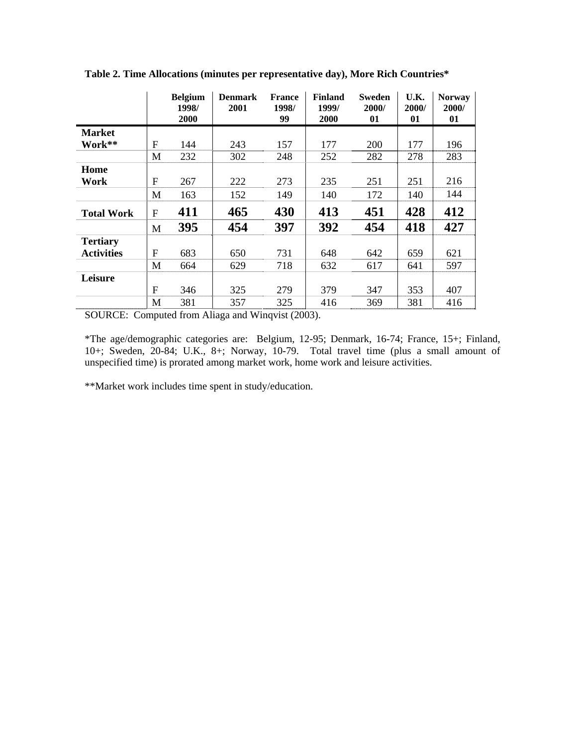|                   |              | <b>Belgium</b><br>1998/<br><b>2000</b> | <b>Denmark</b><br>2001 | <b>France</b><br>1998/<br>99 | <b>Finland</b><br>1999/<br>2000 | <b>Sweden</b><br>2000/<br>01 | U.K.<br>2000/<br>01 | <b>Norway</b><br>2000/<br>01 |
|-------------------|--------------|----------------------------------------|------------------------|------------------------------|---------------------------------|------------------------------|---------------------|------------------------------|
| <b>Market</b>     |              |                                        |                        |                              |                                 |                              |                     |                              |
| Work**            | F            | 144                                    | 243                    | 157                          | 177                             | 200                          | 177                 | 196                          |
|                   | M            | 232                                    | 302                    | 248                          | 252                             | 282                          | 278                 | 283                          |
| Home              |              |                                        |                        |                              |                                 |                              |                     |                              |
| Work              | $\mathbf{F}$ | 267                                    | 222                    | 273                          | 235                             | 251                          | 251                 | 216                          |
|                   | M            | 163                                    | 152                    | 149                          | 140                             | 172                          | 140                 | 144                          |
| <b>Total Work</b> | $\mathbf{F}$ | 411                                    | 465                    | 430                          | 413                             | 451                          | 428                 | 412                          |
|                   | M            | 395                                    | 454                    | 397                          | 392                             | 454                          | 418                 | 427                          |
| <b>Tertiary</b>   |              |                                        |                        |                              |                                 |                              |                     |                              |
| <b>Activities</b> | $\mathbf{F}$ | 683                                    | 650                    | 731                          | 648                             | 642                          | 659                 | 621                          |
|                   | M            | 664                                    | 629                    | 718                          | 632                             | 617                          | 641                 | 597                          |
| Leisure           |              |                                        |                        |                              |                                 |                              |                     |                              |
|                   | $\mathbf{F}$ | 346                                    | 325                    | 279                          | 379                             | 347                          | 353                 | 407                          |
|                   | M            | 381                                    | 357                    | 325                          | 416                             | 369                          | 381                 | 416                          |

**Table 2. Time Allocations (minutes per representative day), More Rich Countries\*** 

SOURCE: Computed from Aliaga and Winqvist (2003).

\*The age/demographic categories are: Belgium, 12-95; Denmark, 16-74; France, 15+; Finland, 10+; Sweden, 20-84; U.K., 8+; Norway, 10-79. Total travel time (plus a small amount of unspecified time) is prorated among market work, home work and leisure activities.

\*\*Market work includes time spent in study/education.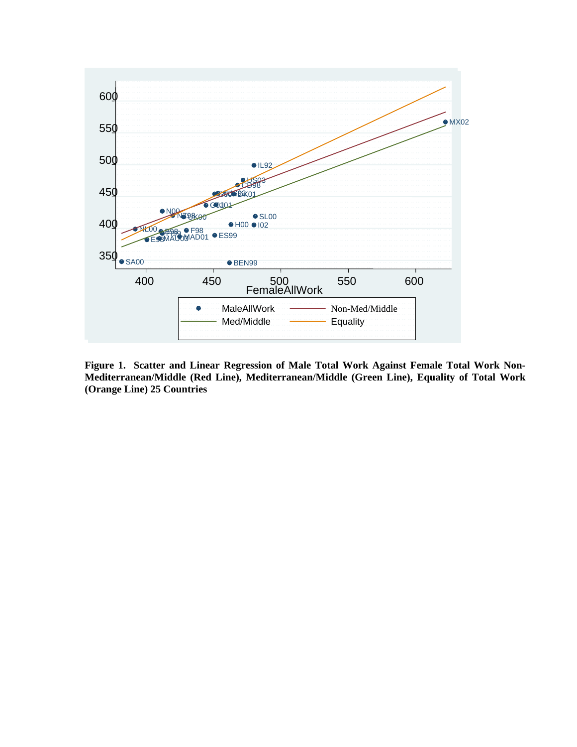

**Figure 1. Scatter and Linear Regression of Male Total Work Against Female Total Work Non-Mediterranean/Middle (Red Line), Mediterranean/Middle (Green Line), Equality of Total Work (Orange Line) 25 Countries**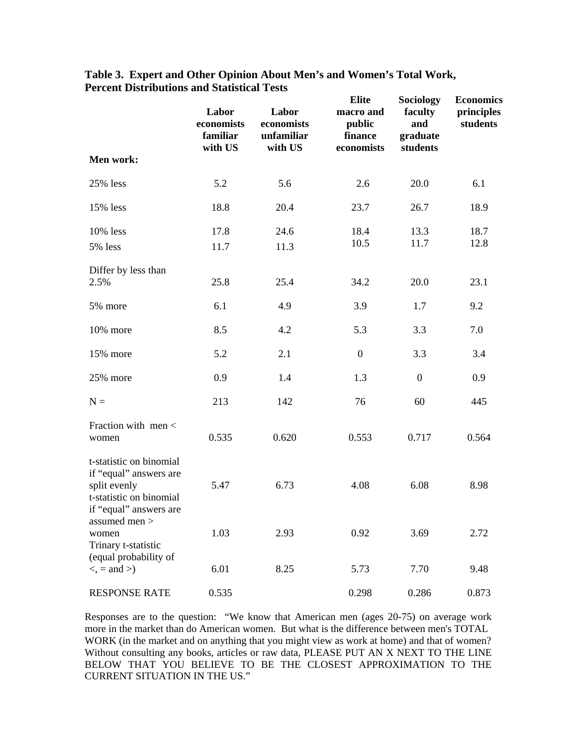| Men work:                                                                                                              | Labor<br>economists<br>familiar<br>with US | Labor<br>economists<br>unfamiliar<br>with US | <b>Elite</b><br>macro and<br>public<br>finance<br>economists | Sociology<br>faculty<br>and<br>graduate<br>students | <b>Economics</b><br>principles<br>students |
|------------------------------------------------------------------------------------------------------------------------|--------------------------------------------|----------------------------------------------|--------------------------------------------------------------|-----------------------------------------------------|--------------------------------------------|
|                                                                                                                        |                                            |                                              |                                                              |                                                     |                                            |
| 25% less                                                                                                               | 5.2                                        | 5.6                                          | 2.6                                                          | 20.0                                                | 6.1                                        |
| 15% less                                                                                                               | 18.8                                       | 20.4                                         | 23.7                                                         | 26.7                                                | 18.9                                       |
| 10% less                                                                                                               | 17.8                                       | 24.6                                         | 18.4                                                         | 13.3                                                | 18.7                                       |
| 5% less                                                                                                                | 11.7                                       | 11.3                                         | 10.5                                                         | 11.7                                                | 12.8                                       |
| Differ by less than<br>2.5%                                                                                            | 25.8                                       | 25.4                                         | 34.2                                                         | 20.0                                                | 23.1                                       |
| 5% more                                                                                                                | 6.1                                        | 4.9                                          | 3.9                                                          | 1.7                                                 | 9.2                                        |
| 10% more                                                                                                               | 8.5                                        | 4.2                                          | 5.3                                                          | 3.3                                                 | 7.0                                        |
| 15% more                                                                                                               | 5.2                                        | 2.1                                          | $\boldsymbol{0}$                                             | 3.3                                                 | 3.4                                        |
| 25% more                                                                                                               | 0.9                                        | 1.4                                          | 1.3                                                          | $\boldsymbol{0}$                                    | 0.9                                        |
| $N =$                                                                                                                  | 213                                        | 142                                          | 76                                                           | 60                                                  | 445                                        |
| Fraction with men <<br>women                                                                                           | 0.535                                      | 0.620                                        | 0.553                                                        | 0.717                                               | 0.564                                      |
| t-statistic on binomial<br>if "equal" answers are<br>split evenly<br>t-statistic on binomial<br>if "equal" answers are | 5.47                                       | 6.73                                         | 4.08                                                         | 6.08                                                | 8.98                                       |
| assumed men ><br>women<br>Trinary t-statistic<br>(equal probability of                                                 | 1.03                                       | 2.93                                         | 0.92                                                         | 3.69                                                | 2.72                                       |
| $\langle$ , = and $\rangle$                                                                                            | 6.01                                       | 8.25                                         | 5.73                                                         | 7.70                                                | 9.48                                       |
| <b>RESPONSE RATE</b>                                                                                                   | 0.535                                      |                                              | 0.298                                                        | 0.286                                               | 0.873                                      |

## **Table 3. Expert and Other Opinion About Men's and Women's Total Work, Percent Distributions and Statistical Tests**

Responses are to the question: "We know that American men (ages 20-75) on average work more in the market than do American women. But what is the difference between men's TOTAL WORK (in the market and on anything that you might view as work at home) and that of women? Without consulting any books, articles or raw data, PLEASE PUT AN X NEXT TO THE LINE BELOW THAT YOU BELIEVE TO BE THE CLOSEST APPROXIMATION TO THE CURRENT SITUATION IN THE US."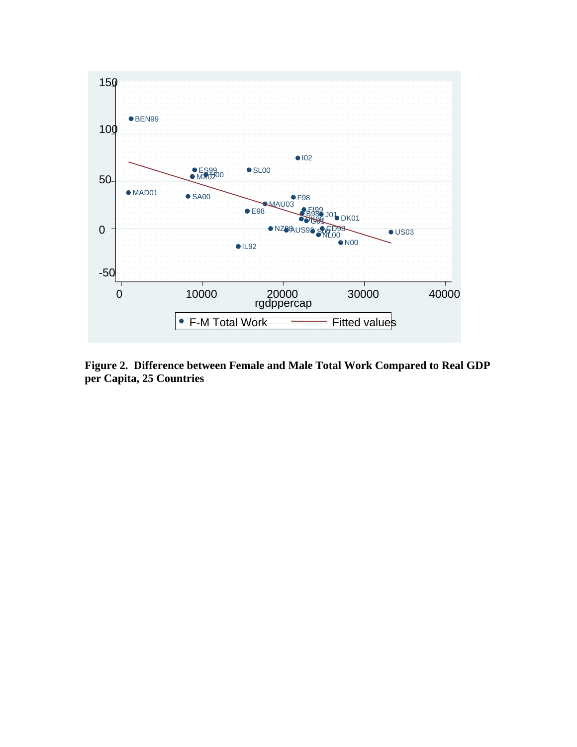

**Figure 2. Difference between Female and Male Total Work Compared to Real GDP per Capita, 25 Countries**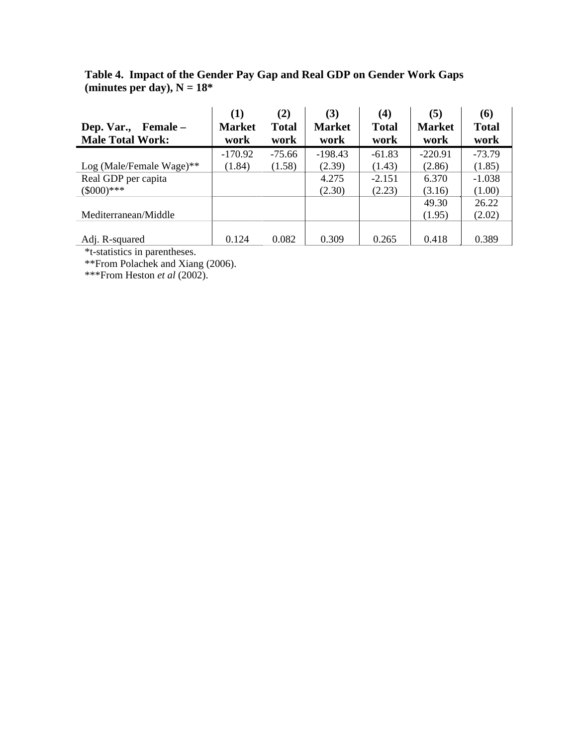## **Table 4. Impact of the Gender Pay Gap and Real GDP on Gender Work Gaps**  (minutes per day),  $N = 18^*$

|                             | (1)           | (2)          | (3)           | (4)          | (5)           | (6)          |
|-----------------------------|---------------|--------------|---------------|--------------|---------------|--------------|
| Dep. Var.,<br>Female –      | <b>Market</b> | <b>Total</b> | <b>Market</b> | <b>Total</b> | <b>Market</b> | <b>Total</b> |
| <b>Male Total Work:</b>     | work          | work         | work          | work         | work          | work         |
|                             | $-170.92$     | $-75.66$     | $-198.43$     | $-61.83$     | $-220.91$     | $-73.79$     |
| Log (Male/Female Wage) $**$ | (1.84)        | (1.58)       | (2.39)        | (1.43)       | (2.86)        | (1.85)       |
| Real GDP per capita         |               |              | 4.275         | $-2.151$     | 6.370         | $-1.038$     |
| $(\$000)***$                |               |              | (2.30)        | (2.23)       | (3.16)        | (1.00)       |
|                             |               |              |               |              | 49.30         | 26.22        |
| Mediterranean/Middle        |               |              |               |              | (1.95)        | (2.02)       |
|                             |               |              |               |              |               |              |
| Adj. R-squared              | 0.124         | 0.082        | 0.309         | 0.265        | 0.418         | 0.389        |

\*t-statistics in parentheses.

\*\*From Polachek and Xiang (2006).

\*\*\*From Heston *et al* (2002).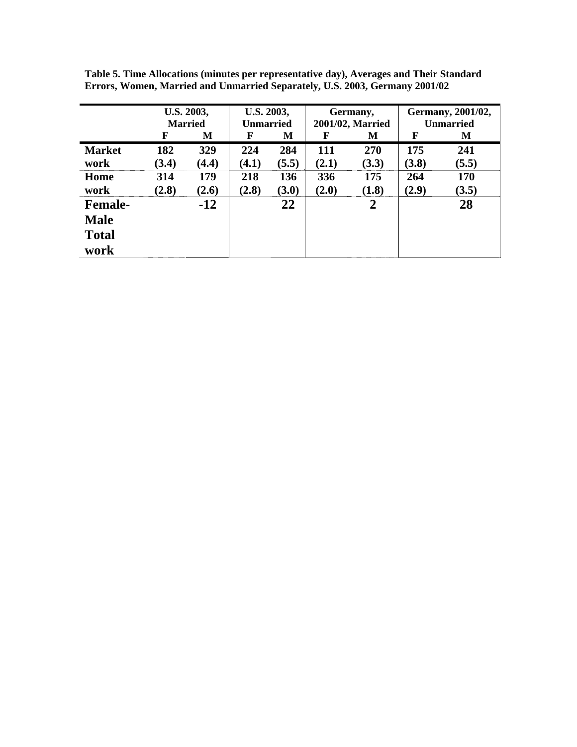|                | U.S. 2003, |                | U.S. 2003,       |       | Germany,         |       | Germany, 2001/02, |            |
|----------------|------------|----------------|------------------|-------|------------------|-------|-------------------|------------|
|                |            | <b>Married</b> | <b>Unmarried</b> |       | 2001/02, Married |       | <b>Unmarried</b>  |            |
|                | F          | М              | F                | М     | F                | M     | F                 | М          |
| <b>Market</b>  | 182        | 329            | 224              | 284   | 111              | 270   | 175               | 241        |
| work           | (3.4)      | (4.4)          | (4.1)            | (5.5) | (2.1)            | (3.3) | (3.8)             | (5.5)      |
| Home           | 314        | 179            | 218              | 136   | 336              | 175   | 264               | <b>170</b> |
| work           | (2.8)      | (2.6)          | (2.8)            | (3.0) | (2.0)            | (1.8) | (2.9)             | (3.5)      |
| <b>Female-</b> |            | $-12$          |                  | 22    |                  | 2     |                   | 28         |
| <b>Male</b>    |            |                |                  |       |                  |       |                   |            |
| <b>Total</b>   |            |                |                  |       |                  |       |                   |            |
| work           |            |                |                  |       |                  |       |                   |            |

**Table 5. Time Allocations (minutes per representative day), Averages and Their Standard Errors, Women, Married and Unmarried Separately, U.S. 2003, Germany 2001/02**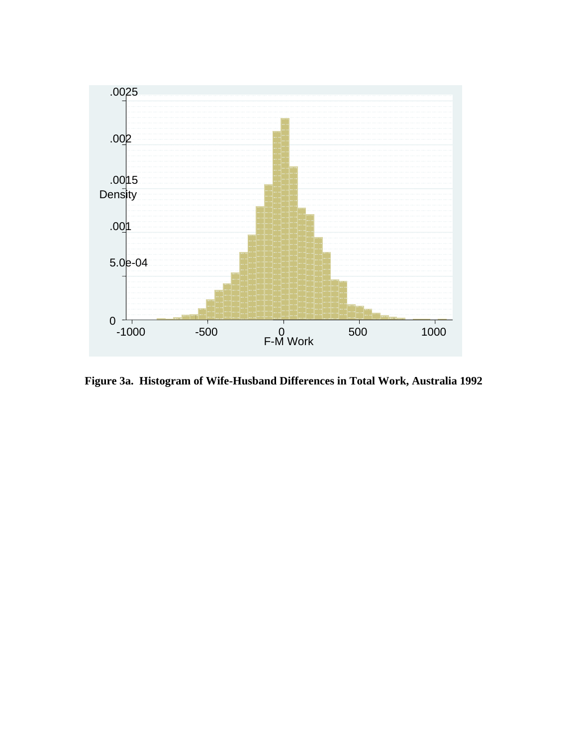

**Figure 3a. Histogram of Wife-Husband Differences in Total Work, Australia 1992**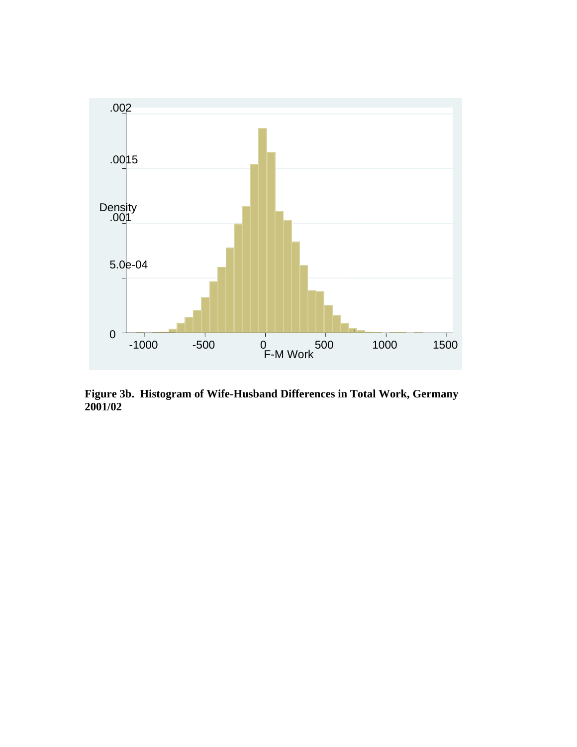

**Figure 3b. Histogram of Wife-Husband Differences in Total Work, Germany 2001/02**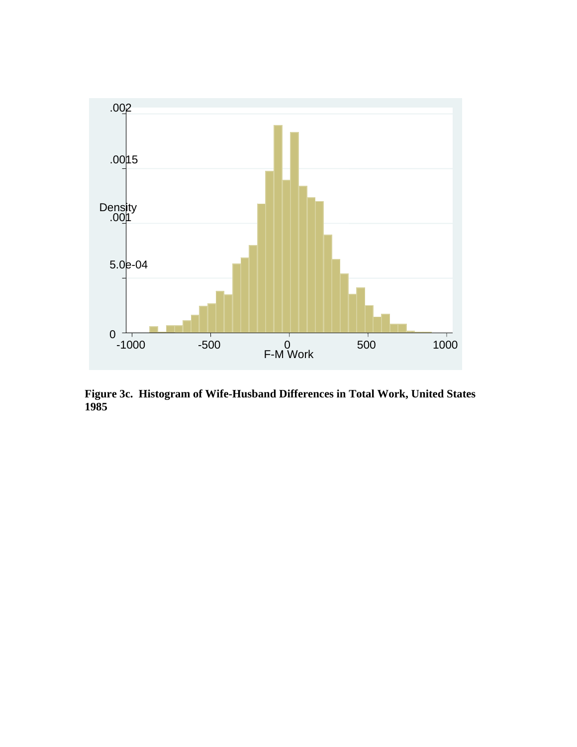

**Figure 3c. Histogram of Wife-Husband Differences in Total Work, United States 1985**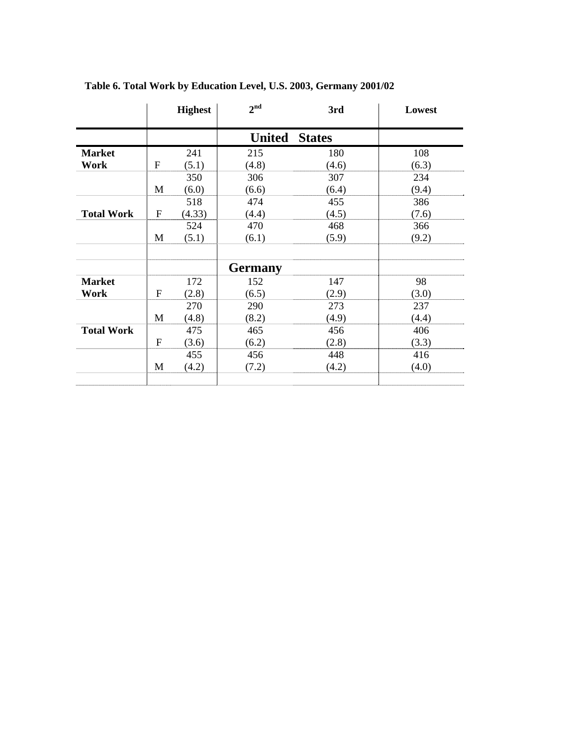|                   |           | <b>Highest</b> | 2 <sup>nd</sup> | 3rd           | Lowest |
|-------------------|-----------|----------------|-----------------|---------------|--------|
|                   |           |                | <b>United</b>   | <b>States</b> |        |
| <b>Market</b>     |           | 241            | 215             | 180           | 108    |
| Work              | ${\bf F}$ | (5.1)          | (4.8)           | (4.6)         | (6.3)  |
|                   |           | 350            | 306             | 307           | 234    |
|                   | M         | (6.0)          | (6.6)           | (6.4)         | (9.4)  |
|                   |           | 518            | 474             | 455           | 386    |
| <b>Total Work</b> | F         | (4.33)         | (4.4)           | (4.5)         | (7.6)  |
|                   |           | 524            | 470             | 468           | 366    |
|                   | M         | (5.1)          | (6.1)           | (5.9)         | (9.2)  |
|                   |           |                |                 |               |        |
|                   |           |                | <b>Germany</b>  |               |        |
| <b>Market</b>     |           | 172            | 152             | 147           | 98     |
| Work              | F         | (2.8)          | (6.5)           | (2.9)         | (3.0)  |
|                   |           | 270            | 290             | 273           | 237    |
|                   | M         | (4.8)          | (8.2)           | (4.9)         | (4.4)  |
| <b>Total Work</b> |           | 475            | 465             | 456           | 406    |
|                   | F         | (3.6)          | (6.2)           | (2.8)         | (3.3)  |
|                   |           | 455            | 456             | 448           | 416    |
|                   | M         | (4.2)          | (7.2)           | (4.2)         | (4.0)  |
|                   |           |                |                 |               |        |

# **Table 6. Total Work by Education Level, U.S. 2003, Germany 2001/02**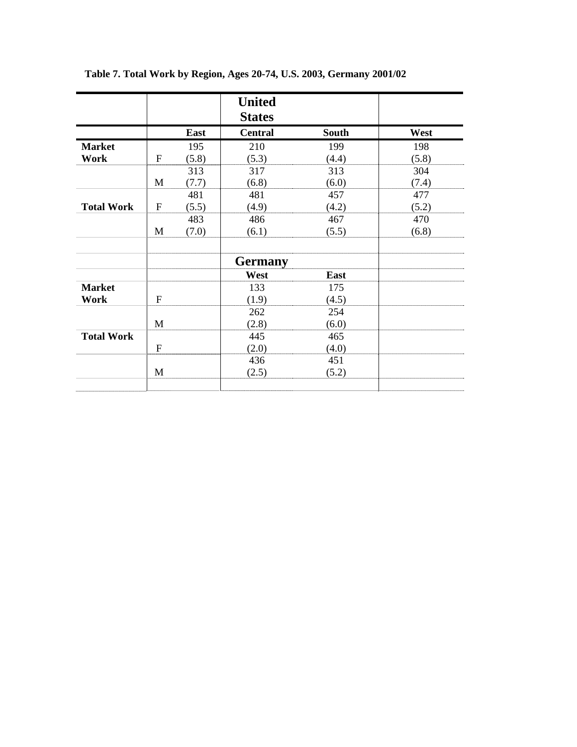|                   |                |       | <b>United</b>  |              |       |
|-------------------|----------------|-------|----------------|--------------|-------|
|                   |                |       | <b>States</b>  |              |       |
|                   |                | East  | <b>Central</b> | <b>South</b> | West  |
| <b>Market</b>     |                | 195   | 210            | 199          | 198   |
| Work              | ${\bf F}$      | (5.8) | (5.3)          | (4.4)        | (5.8) |
|                   |                | 313   | 317            | 313          | 304   |
|                   | M              | (7.7) | (6.8)          | (6.0)        | (7.4) |
|                   |                | 481   | 481            | 457          | 477   |
| <b>Total Work</b> | ${\bf F}$      | (5.5) | (4.9)          | (4.2)        | (5.2) |
|                   |                | 483   | 486            | 467          | 470   |
|                   | M              | (7.0) | (6.1)          | (5.5)        | (6.8) |
|                   |                |       | <b>Germany</b> |              |       |
|                   |                |       | West           | East         |       |
| <b>Market</b>     |                |       | 133            | 175          |       |
| Work              | $\overline{F}$ |       | (1.9)          | (4.5)        |       |
|                   |                |       | 262            | 254          |       |
|                   | M              |       | (2.8)          | (6.0)        |       |
| <b>Total Work</b> |                |       | 445            | 465          |       |
|                   | $\overline{F}$ |       | (2.0)          | (4.0)        |       |
|                   |                |       | 436            | 451          |       |
|                   | M              |       | (2.5)          | (5.2)        |       |
|                   |                |       |                |              |       |

**Table 7. Total Work by Region, Ages 20-74, U.S. 2003, Germany 2001/02**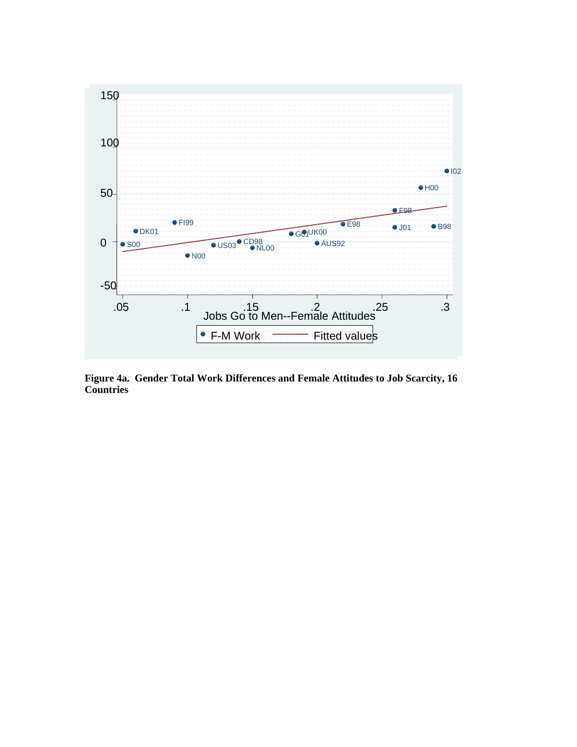

**Figure 4a. Gender Total Work Differences and Female Attitudes to Job Scarcity, 16 Countries**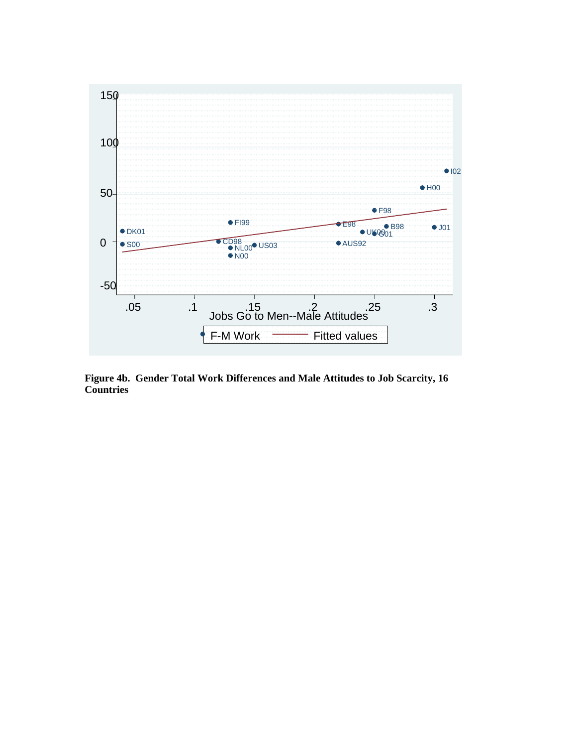

**Figure 4b. Gender Total Work Differences and Male Attitudes to Job Scarcity, 16 Countries**